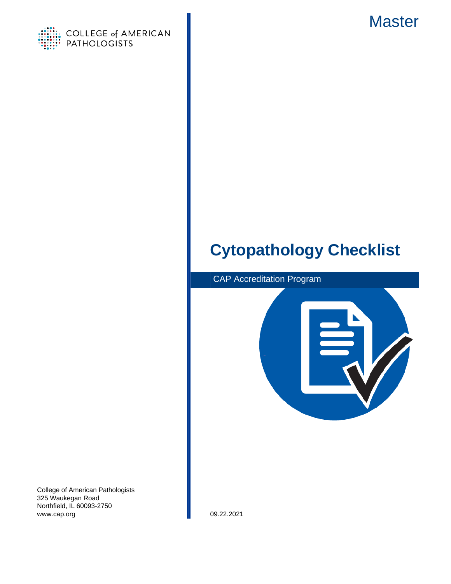



# **Cytopathology Checklist**



College of American Pathologists 325 Waukegan Road Northfield, IL 60093-2750 www.cap.org 09.22.2021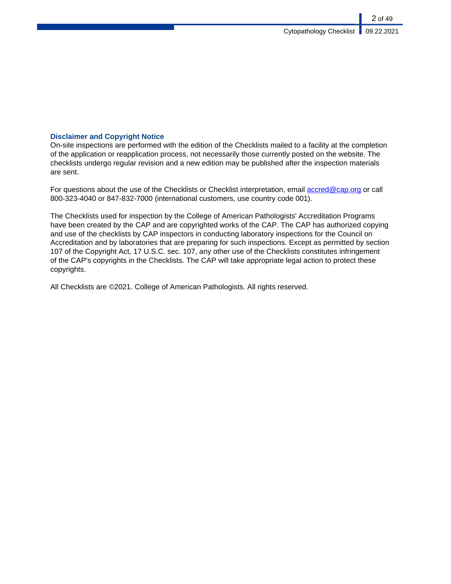### **Disclaimer and Copyright Notice**

On-site inspections are performed with the edition of the Checklists mailed to a facility at the completion of the application or reapplication process, not necessarily those currently posted on the website. The checklists undergo regular revision and a new edition may be published after the inspection materials are sent.

For questions about the use of the Checklists or Checklist interpretation, email [accred@cap.org](mailto:accred@cap.org) or call 800-323-4040 or 847-832-7000 (international customers, use country code 001).

The Checklists used for inspection by the College of American Pathologists' Accreditation Programs have been created by the CAP and are copyrighted works of the CAP. The CAP has authorized copying and use of the checklists by CAP inspectors in conducting laboratory inspections for the Council on Accreditation and by laboratories that are preparing for such inspections. Except as permitted by section 107 of the Copyright Act, 17 U.S.C. sec. 107, any other use of the Checklists constitutes infringement of the CAP's copyrights in the Checklists. The CAP will take appropriate legal action to protect these copyrights.

All Checklists are ©2021. College of American Pathologists. All rights reserved.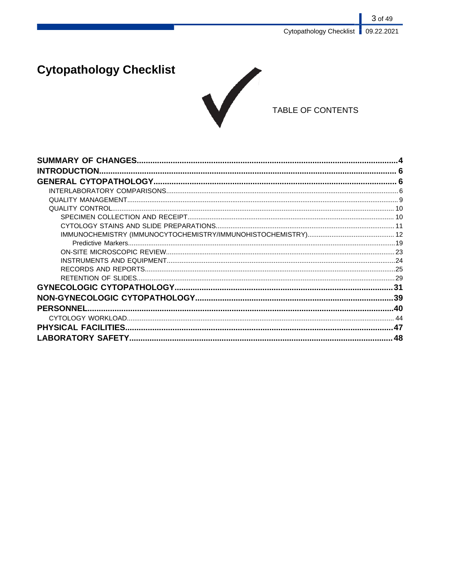3 of 49 Cytopathology Checklist | 09.22.2021

# **Cytopathology Checklist**



## TABLE OF CONTENTS

| <b>INTRODUCTION.</b> |     |
|----------------------|-----|
|                      |     |
|                      |     |
|                      |     |
|                      |     |
|                      |     |
|                      |     |
|                      |     |
|                      |     |
|                      |     |
|                      |     |
|                      |     |
|                      |     |
|                      |     |
|                      |     |
|                      |     |
|                      |     |
|                      |     |
|                      | .48 |
|                      |     |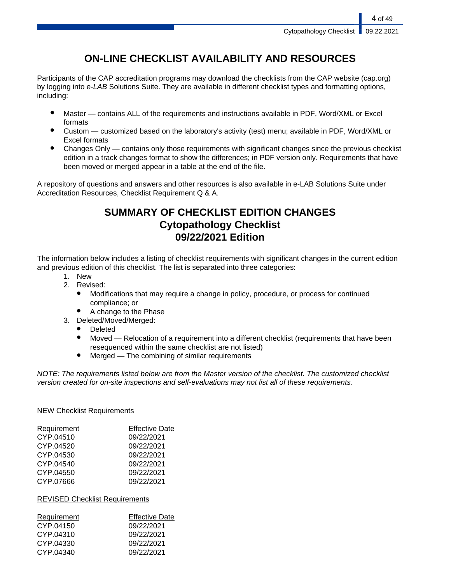## **ON-LINE CHECKLIST AVAILABILITY AND RESOURCES**

Participants of the CAP accreditation programs may download the checklists from the CAP website (cap.org) by logging into e-LAB Solutions Suite. They are available in different checklist types and formatting options, including:

- Master contains ALL of the requirements and instructions available in PDF, Word/XML or Excel formats
- Custom customized based on the laboratory's activity (test) menu; available in PDF, Word/XML or Excel formats
- Changes Only contains only those requirements with significant changes since the previous checklist edition in a track changes format to show the differences; in PDF version only. Requirements that have been moved or merged appear in a table at the end of the file.

A repository of questions and answers and other resources is also available in e-LAB Solutions Suite under Accreditation Resources, Checklist Requirement Q & A.

## **SUMMARY OF CHECKLIST EDITION CHANGES Cytopathology Checklist 09/22/2021 Edition**

The information below includes a listing of checklist requirements with significant changes in the current edition and previous edition of this checklist. The list is separated into three categories:

- 1. New
- 2. Revised:
	- Modifications that may require a change in policy, procedure, or process for continued compliance; or
	- A change to the Phase
- 3. Deleted/Moved/Merged:
	- **Deleted**
	- Moved Relocation of a requirement into a different checklist (requirements that have been resequenced within the same checklist are not listed)
	- $Mered$  The combining of similar requirements

NOTE: The requirements listed below are from the Master version of the checklist. The customized checklist version created for on-site inspections and self-evaluations may not list all of these requirements.

### NEW Checklist Requirements

| Requirement | <b>Effective Date</b> |
|-------------|-----------------------|
| CYP.04510   | 09/22/2021            |
| CYP.04520   | 09/22/2021            |
| CYP.04530   | 09/22/2021            |
| CYP.04540   | 09/22/2021            |
| CYP.04550   | 09/22/2021            |
| CYP.07666   | 09/22/2021            |

### REVISED Checklist Requirements

| Requirement | <b>Effective Date</b> |
|-------------|-----------------------|
| CYP.04150   | 09/22/2021            |
| CYP.04310   | 09/22/2021            |
| CYP.04330   | 09/22/2021            |
| CYP.04340   | 09/22/2021            |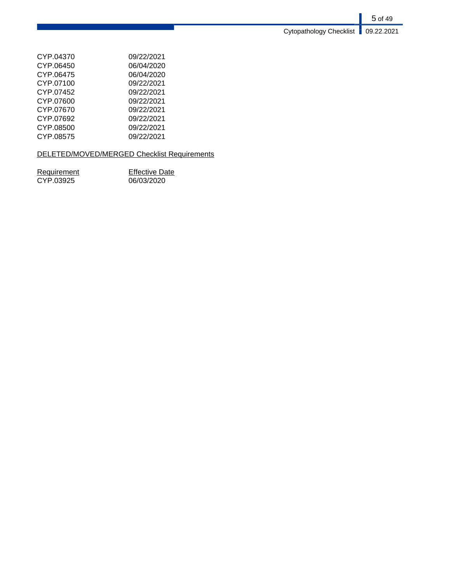| CYP.04370 | 09/22/2021 |
|-----------|------------|
| CYP.06450 | 06/04/2020 |
| CYP.06475 | 06/04/2020 |
| CYP.07100 | 09/22/2021 |
| CYP.07452 | 09/22/2021 |
| CYP.07600 | 09/22/2021 |
| CYP.07670 | 09/22/2021 |
| CYP.07692 | 09/22/2021 |
| CYP.08500 | 09/22/2021 |
| CYP.08575 | 09/22/2021 |

## DELETED/MOVED/MERGED Checklist Requirements

| Requirement | <b>Effective Date</b> |
|-------------|-----------------------|
| CYP.03925   | 06/03/2020            |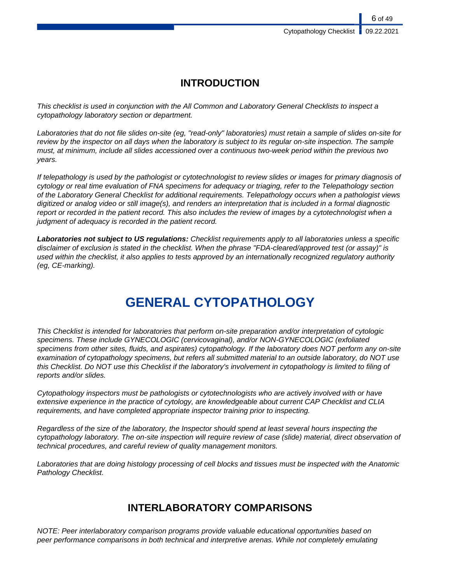## **INTRODUCTION**

This checklist is used in conjunction with the All Common and Laboratory General Checklists to inspect a cytopathology laboratory section or department.

Laboratories that do not file slides on-site (eg, "read-only" laboratories) must retain a sample of slides on-site for review by the inspector on all days when the laboratory is subject to its regular on-site inspection. The sample must, at minimum, include all slides accessioned over a continuous two-week period within the previous two years.

If telepathology is used by the pathologist or cytotechnologist to review slides or images for primary diagnosis of cytology or real time evaluation of FNA specimens for adequacy or triaging, refer to the Telepathology section of the Laboratory General Checklist for additional requirements. Telepathology occurs when a pathologist views digitized or analog video or still image(s), and renders an interpretation that is included in a formal diagnostic report or recorded in the patient record. This also includes the review of images by a cytotechnologist when a judgment of adequacy is recorded in the patient record.

**Laboratories not subject to US regulations:** Checklist requirements apply to all laboratories unless a specific disclaimer of exclusion is stated in the checklist. When the phrase "FDA-cleared/approved test (or assay)" is used within the checklist, it also applies to tests approved by an internationally recognized regulatory authority (eg, CE-marking).

# **GENERAL CYTOPATHOLOGY**

This Checklist is intended for laboratories that perform on-site preparation and/or interpretation of cytologic specimens. These include GYNECOLOGIC (cervicovaginal), and/or NON-GYNECOLOGIC (exfoliated specimens from other sites, fluids, and aspirates) cytopathology. If the laboratory does NOT perform any on-site examination of cytopathology specimens, but refers all submitted material to an outside laboratory, do NOT use this Checklist. Do NOT use this Checklist if the laboratory's involvement in cytopathology is limited to filing of reports and/or slides.

Cytopathology inspectors must be pathologists or cytotechnologists who are actively involved with or have extensive experience in the practice of cytology, are knowledgeable about current CAP Checklist and CLIA requirements, and have completed appropriate inspector training prior to inspecting.

Regardless of the size of the laboratory, the Inspector should spend at least several hours inspecting the cytopathology laboratory. The on-site inspection will require review of case (slide) material, direct observation of technical procedures, and careful review of quality management monitors.

Laboratories that are doing histology processing of cell blocks and tissues must be inspected with the Anatomic Pathology Checklist.

## **INTERLABORATORY COMPARISONS**

NOTE: Peer interlaboratory comparison programs provide valuable educational opportunities based on peer performance comparisons in both technical and interpretive arenas. While not completely emulating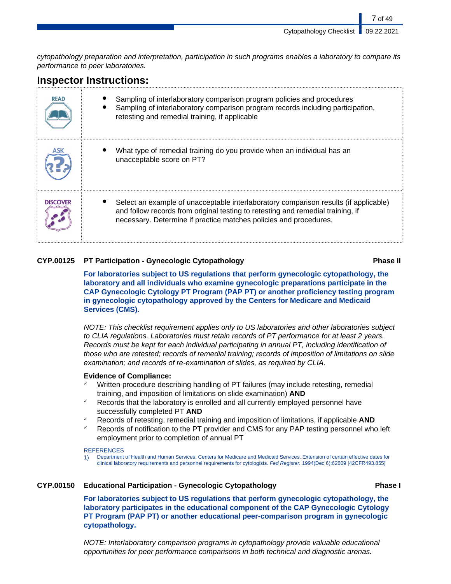cytopathology preparation and interpretation, participation in such programs enables a laboratory to compare its performance to peer laboratories.

## **Inspector Instructions:**

| <b>READ</b>     | Sampling of interlaboratory comparison program policies and procedures<br>Sampling of interlaboratory comparison program records including participation,<br>retesting and remedial training, if applicable                                  |
|-----------------|----------------------------------------------------------------------------------------------------------------------------------------------------------------------------------------------------------------------------------------------|
|                 | What type of remedial training do you provide when an individual has an<br>unacceptable score on PT?                                                                                                                                         |
| <b>DISCOVER</b> | Select an example of unacceptable interlaboratory comparison results (if applicable)<br>and follow records from original testing to retesting and remedial training, if<br>necessary. Determine if practice matches policies and procedures. |

### **CYP.00125 PT Participation - Gynecologic Cytopathology Phase II**

**For laboratories subject to US regulations that perform gynecologic cytopathology, the laboratory and all individuals who examine gynecologic preparations participate in the CAP Gynecologic Cytology PT Program (PAP PT) or another proficiency testing program in gynecologic cytopathology approved by the Centers for Medicare and Medicaid Services (CMS).**

NOTE: This checklist requirement applies only to US laboratories and other laboratories subject to CLIA regulations. Laboratories must retain records of PT performance for at least 2 years. Records must be kept for each individual participating in annual PT, including identification of those who are retested; records of remedial training; records of imposition of limitations on slide examination; and records of re-examination of slides, as required by CLIA.

#### **Evidence of Compliance:**

- Written procedure describing handling of PT failures (may include retesting, remedial training, and imposition of limitations on slide examination) **AND**
- Records that the laboratory is enrolled and all currently employed personnel have successfully completed PT **AND**
- ✓ Records of retesting, remedial training and imposition of limitations, if applicable **AND**
- Records of notification to the PT provider and CMS for any PAP testing personnel who left employment prior to completion of annual PT

#### **REFERENCES**

1) Department of Health and Human Services, Centers for Medicare and Medicaid Services. Extension of certain effective dates for clinical laboratory requirements and personnel requirements for cytologists. Fed Register. 1994(Dec 6):62609 [42CFR493.855]

### **CYP.00150 Educational Participation - Gynecologic Cytopathology Phase I**

**For laboratories subject to US regulations that perform gynecologic cytopathology, the laboratory participates in the educational component of the CAP Gynecologic Cytology PT Program (PAP PT) or another educational peer-comparison program in gynecologic cytopathology.**

NOTE: Interlaboratory comparison programs in cytopathology provide valuable educational opportunities for peer performance comparisons in both technical and diagnostic arenas.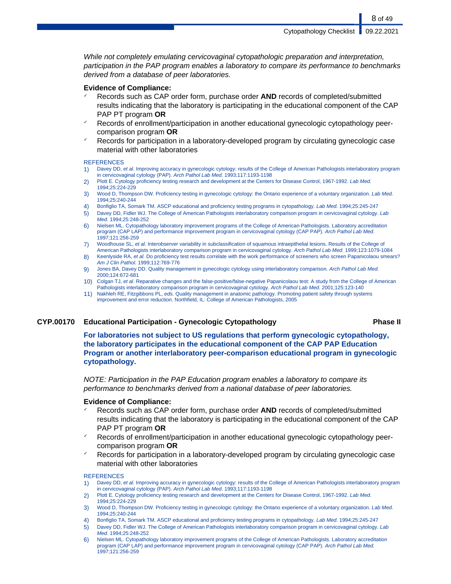8 of 49

While not completely emulating cervicovaginal cytopathologic preparation and interpretation, participation in the PAP program enables a laboratory to compare its performance to benchmarks derived from a database of peer laboratories.

#### **Evidence of Compliance:**

- Records such as CAP order form, purchase order **AND** records of completed/submitted results indicating that the laboratory is participating in the educational component of the CAP PAP PT program **OR**
- Records of enrollment/participation in another educational gynecologic cytopathology peercomparison program **OR**
- Records for participation in a laboratory-developed program by circulating gynecologic case material with other laboratories

#### **REFERENCES**

- 1) Davey DD, et al. Improving accuracy in gynecologic cytology: results of the College of American Pathologists interlaboratory program in cervicovaginal cytology (PAP). Arch Pathol Lab Med. 1993;117:1193-1198
- 2) Plott E. Cytology proficiency testing research and development at the Centers for Disease Control, 1967-1992. Lab Med. 1994;25:224-229
- 3) Wood D, Thompson DW. Proficiency testing in gynecologic cytology: the Ontario experience of a voluntary organization. Lab Med. 1994;25:240-244
- 4) Bonfiglio TA, Somark TM. ASCP educational and proficiency testing programs in cytopathology. Lab Med. 1994;25:245-247
- 5) Davey DD, Fidler WJ. The College of American Pathologists interlaboratory comparison program in cervicovaginal cytology. Lab Med. 1994;25:248-252
- 6) Nielsen ML. Cytopathology laboratory improvement programs of the College of American Pathologists. Laboratory accreditation program (CAP LAP) and performance improvement program in cervicovaginal cytology (CAP PAP). Arch Pathol Lab Med. 1997;121:256-259
- 7) Woodhouse SL, et al. Interobserver variability in subclassification of squamous intraepithelial lesions. Results of the College of American Pathologists interlaboratory comparison program in cervicovaginal cytology. Arch Pathol Lab Med. 1999;123:1079-1084
- 8) Keenlyside RA, et al. Do proficiency test results correlate with the work performance of screeners who screen Papanicolaou smears? Am J Clin Pathol. 1999;112:769-776
- 9) Jones BA, Davey DD. Quality management in gynecologic cytology using interlaboratory comparison. Arch Pathol Lab Med. 2000;124:672-681
- 10) Colgan TJ, et al. Reparative changes and the false-positive/false-negative Papanicolaou test: A study from the College of American Pathologists interlaboratory comparison program in cervicovaginal cytology. Arch Pathol Lab Med. 2001;125:123-140
- 11) Nakhleh RE, Fitzgibbons PL, eds. Quality management in anatomic pathology. Promoting patient safety through systems improvement and error reduction. Northfield, IL: College of American Pathologists, 2005

#### **CYP.00170 Educational Participation - Gynecologic Cytopathology Phase II**

**For laboratories not subject to US regulations that perform gynecologic cytopathology, the laboratory participates in the educational component of the CAP PAP Education Program or another interlaboratory peer-comparison educational program in gynecologic cytopathology.**

NOTE: Participation in the PAP Education program enables a laboratory to compare its performance to benchmarks derived from a national database of peer laboratories.

#### **Evidence of Compliance:**

- ✓ Records such as CAP order form, purchase order **AND** records of completed/submitted results indicating that the laboratory is participating in the educational component of the CAP PAP PT program **OR**
- Records of enrollment/participation in another educational gynecologic cytopathology peercomparison program **OR**
- Records for participation in a laboratory-developed program by circulating gynecologic case material with other laboratories

#### **REFERENCES**

- 1) Davey DD, et al. Improving accuracy in gynecologic cytology: results of the College of American Pathologists interlaboratory program in cervicovaginal cytology (PAP). Arch Pathol Lab Med. 1993;117:1193-1198
- 2) Plott E. Cytology proficiency testing research and development at the Centers for Disease Control, 1967-1992. Lab Med. 1994;25:224-229
- 3) Wood D, Thompson DW. Proficiency testing in gynecologic cytology: the Ontario experience of a voluntary organization. Lab Med. 1994;25:240-244
- 4) Bonfiglio TA, Somark TM. ASCP educational and proficiency testing programs in cytopathology. Lab Med. 1994;25:245-247
- 5) Davey DD, Fidler WJ. The College of American Pathologists interlaboratory comparison program in cervicovaginal cytology. Lab Med. 1994;25:248-252
- 6) Nielsen ML. Cytopathology laboratory improvement programs of the College of American Pathologists. Laboratory accreditation program (CAP LAP) and performance improvement program in cervicovaginal cytology (CAP PAP). Arch Pathol Lab Med. 1997;121:256-259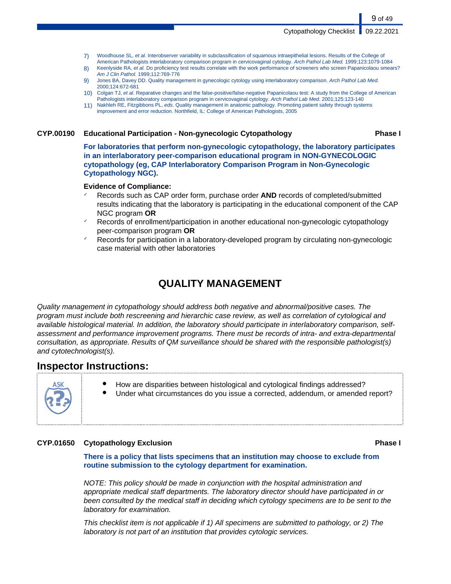- 7) Woodhouse SL, et al. Interobserver variability in subclassification of squamous intraepithelial lesions. Results of the College of American Pathologists interlaboratory comparison program in cervicovaginal cytology. Arch Pathol Lab Med. 1999;123:1079-1084
- 8) Keenlyside RA, et al. Do proficiency test results correlate with the work performance of screeners who screen Papanicolaou smears? Am J Clin Pathol. 1999;112:769-776
- 9) Jones BA, Davey DD. Quality management in gynecologic cytology using interlaboratory comparison. Arch Pathol Lab Med. 2000;124:672-681
- 10) Colgan TJ, et al. Reparative changes and the false-positive/false-negative Papanicolaou test: A study from the College of American Pathologists interlaboratory comparison program in cervicovaginal cytology. Arch Pathol Lab Med. 2001;125:123-140
- 11) Nakhleh RE, Fitzgibbons PL, eds. Quality management in anatomic pathology. Promoting patient safety through systems improvement and error reduction. Northfield, IL: College of American Pathologists, 2005

#### **CYP.00190 Educational Participation - Non-gynecologic Cytopathology Phase I**

9 of 49

**For laboratories that perform non-gynecologic cytopathology, the laboratory participates in an interlaboratory peer-comparison educational program in NON-GYNECOLOGIC cytopathology (eg, CAP Interlaboratory Comparison Program in Non-Gynecologic Cytopathology NGC).**

#### **Evidence of Compliance:**

- ✓ Records such as CAP order form, purchase order **AND** records of completed/submitted results indicating that the laboratory is participating in the educational component of the CAP NGC program **OR**
- Records of enrollment/participation in another educational non-gynecologic cytopathology peer-comparison program **OR**
- Records for participation in a laboratory-developed program by circulating non-gynecologic case material with other laboratories

## **QUALITY MANAGEMENT**

Quality management in cytopathology should address both negative and abnormal/positive cases. The program must include both rescreening and hierarchic case review, as well as correlation of cytological and available histological material. In addition, the laboratory should participate in interlaboratory comparison, selfassessment and performance improvement programs. There must be records of intra- and extra-departmental consultation, as appropriate. Results of QM surveillance should be shared with the responsible pathologist(s) and cytotechnologist(s).

## **Inspector Instructions:**

- How are disparities between histological and cytological findings addressed?
- Under what circumstances do you issue a corrected, addendum, or amended report?

#### **CYP.01650 Cytopathology Exclusion Phase I**

**There is a policy that lists specimens that an institution may choose to exclude from routine submission to the cytology department for examination.**

NOTE: This policy should be made in conjunction with the hospital administration and appropriate medical staff departments. The laboratory director should have participated in or been consulted by the medical staff in deciding which cytology specimens are to be sent to the laboratory for examination.

This checklist item is not applicable if 1) All specimens are submitted to pathology, or 2) The laboratory is not part of an institution that provides cytologic services.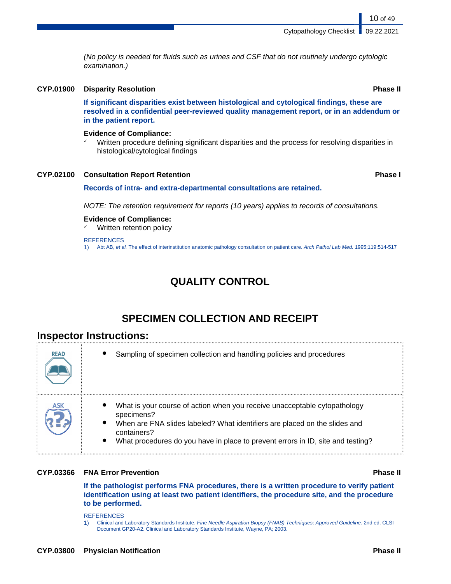(No policy is needed for fluids such as urines and CSF that do not routinely undergo cytologic examination.)

### **CYP.01900 Disparity Resolution Phase II**

**If significant disparities exist between histological and cytological findings, these are resolved in a confidential peer-reviewed quality management report, or in an addendum or in the patient report.**

#### **Evidence of Compliance:**

Written procedure defining significant disparities and the process for resolving disparities in histological/cytological findings

#### **CYP.02100 Consultation Report Retention Phase I**

#### **Records of intra- and extra-departmental consultations are retained.**

NOTE: The retention requirement for reports (10 years) applies to records of consultations.

#### **Evidence of Compliance:**

Written retention policy

#### **REFERENCES**

1) Abt AB, et al. The effect of interinstitution anatomic pathology consultation on patient care. Arch Pathol Lab Med. 1995;119:514-517

## **QUALITY CONTROL**

## **SPECIMEN COLLECTION AND RECEIPT**

## **Inspector Instructions:**

| <b>READ</b> | Sampling of specimen collection and handling policies and procedures                                                                                                                                                                                                                              |
|-------------|---------------------------------------------------------------------------------------------------------------------------------------------------------------------------------------------------------------------------------------------------------------------------------------------------|
| ASK         | What is your course of action when you receive unacceptable cytopathology<br>specimens?<br>$\bullet$<br>When are FNA slides labeled? What identifiers are placed on the slides and<br>containers?<br>$\bullet$<br>What procedures do you have in place to prevent errors in ID, site and testing? |

#### **CYP.03366 FNA Error Prevention Phase II**

**If the pathologist performs FNA procedures, there is a written procedure to verify patient identification using at least two patient identifiers, the procedure site, and the procedure to be performed.**

#### **REFERENCES**

1) Clinical and Laboratory Standards Institute. Fine Needle Aspiration Biopsy (FNAB) Techniques; Approved Guideline. 2nd ed. CLSI Document GP20-A2. Clinical and Laboratory Standards Institute, Wayne, PA; 2003.

10 of 49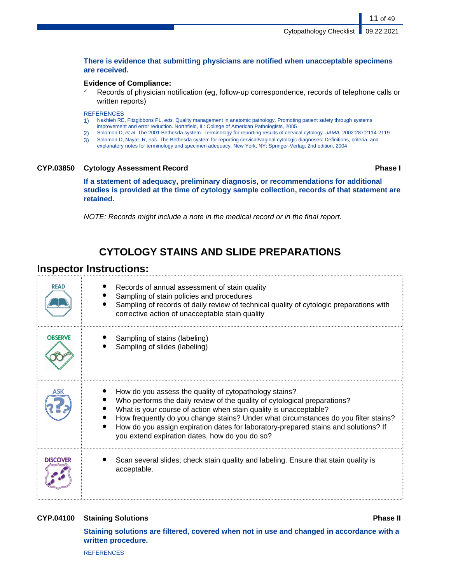#### **There is evidence that submitting physicians are notified when unacceptable specimens are received.**

#### **Evidence of Compliance:**

Records of physician notification (eg, follow-up correspondence, records of telephone calls or written reports)

#### **REFERENCES**

- 1) Nakhleh RE, Fitzgibbons PL, eds. Quality management in anatomic pathology. Promoting patient safety through systems improvement and error reduction. Northfield, IL: College of American Pathologists, 2005
- 2) Solomon D, et al. The 2001 Bethesda system. Terminology for reporting results of cervical cytology. JAMA. 2002:287:2114-2119
- 3) Solomon D, Nayar, R, eds. The Bethesda system for reporting cervical/vaginal cytologic diagnoses: Definitions, criteria, and
- explanatory notes for terminology and specimen adequacy. New York, NY: Springer-Verlag; 2nd edition, 2004

#### **CYP.03850 Cytology Assessment Record Phase I**

11 of 49

**If a statement of adequacy, preliminary diagnosis, or recommendations for additional studies is provided at the time of cytology sample collection, records of that statement are retained.**

NOTE: Records might include a note in the medical record or in the final report.

## **CYTOLOGY STAINS AND SLIDE PREPARATIONS**

## **Inspector Instructions:**

| READ            | Records of annual assessment of stain quality<br>Sampling of stain policies and procedures<br>Sampling of records of daily review of technical quality of cytologic preparations with<br>corrective action of unacceptable stain quality                                                                                                                                                                                                 |
|-----------------|------------------------------------------------------------------------------------------------------------------------------------------------------------------------------------------------------------------------------------------------------------------------------------------------------------------------------------------------------------------------------------------------------------------------------------------|
| <b>OBSERVE</b>  | Sampling of stains (labeling)<br>Sampling of slides (labeling)                                                                                                                                                                                                                                                                                                                                                                           |
|                 | How do you assess the quality of cytopathology stains?<br>Who performs the daily review of the quality of cytological preparations?<br>What is your course of action when stain quality is unacceptable?<br>How frequently do you change stains? Under what circumstances do you filter stains?<br>How do you assign expiration dates for laboratory-prepared stains and solutions? If<br>you extend expiration dates, how do you do so? |
| <b>DISCOVER</b> | Scan several slides; check stain quality and labeling. Ensure that stain quality is<br>acceptable.                                                                                                                                                                                                                                                                                                                                       |

#### **CYP.04100 Staining Solutions Phase II**

**Staining solutions are filtered, covered when not in use and changed in accordance with a written procedure.**

**REFERENCES**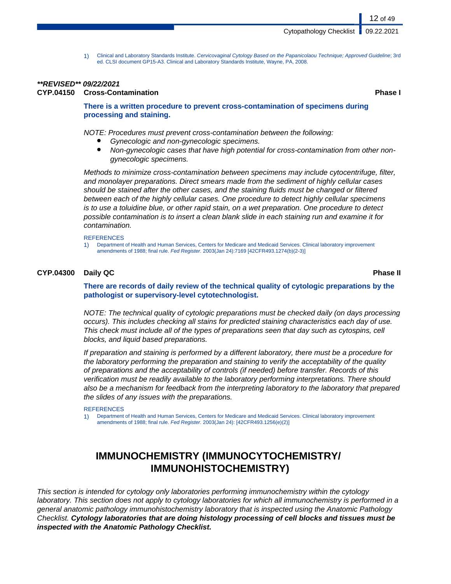1) Clinical and Laboratory Standards Institute. Cervicovaginal Cytology Based on the Papanicolaou Technique; Approved Guideline; 3rd ed. CLSI document GP15-A3. Clinical and Laboratory Standards Institute, Wayne, PA, 2008.

## **\*\*REVISED\*\* 09/22/2021**

### **CYP.04150 Cross-Contamination Phase I**

12 of 49

#### **There is a written procedure to prevent cross-contamination of specimens during processing and staining.**

NOTE: Procedures must prevent cross-contamination between the following:

- Gynecologic and non-gynecologic specimens.
- Non-gynecologic cases that have high potential for cross-contamination from other nongynecologic specimens.

Methods to minimize cross-contamination between specimens may include cytocentrifuge, filter, and monolayer preparations. Direct smears made from the sediment of highly cellular cases should be stained after the other cases, and the staining fluids must be changed or filtered between each of the highly cellular cases. One procedure to detect highly cellular specimens is to use a toluidine blue, or other rapid stain, on a wet preparation. One procedure to detect possible contamination is to insert a clean blank slide in each staining run and examine it for contamination.

#### **REFERENCES**

1) Department of Health and Human Services, Centers for Medicare and Medicaid Services. Clinical laboratory improvement amendments of 1988; final rule. Fed Register. 2003(Jan 24):7169 [42CFR493.1274(b)(2-3)]

### **CYP.04300 Daily QC Phase II**

**There are records of daily review of the technical quality of cytologic preparations by the pathologist or supervisory-level cytotechnologist.**

NOTE: The technical quality of cytologic preparations must be checked daily (on days processing occurs). This includes checking all stains for predicted staining characteristics each day of use. This check must include all of the types of preparations seen that day such as cytospins, cell blocks, and liquid based preparations.

If preparation and staining is performed by a different laboratory, there must be a procedure for the laboratory performing the preparation and staining to verify the acceptability of the quality of preparations and the acceptability of controls (if needed) before transfer. Records of this verification must be readily available to the laboratory performing interpretations. There should also be a mechanism for feedback from the interpreting laboratory to the laboratory that prepared the slides of any issues with the preparations.

#### **REFERENCES**

1) Department of Health and Human Services, Centers for Medicare and Medicaid Services. Clinical laboratory improvement amendments of 1988; final rule. Fed Register. 2003(Jan 24): [42CFR493.1256(e)(2)]

## **IMMUNOCHEMISTRY (IMMUNOCYTOCHEMISTRY/ IMMUNOHISTOCHEMISTRY)**

This section is intended for cytology only laboratories performing immunochemistry within the cytology laboratory. This section does not apply to cytology laboratories for which all immunochemistry is performed in a general anatomic pathology immunohistochemistry laboratory that is inspected using the Anatomic Pathology Checklist. **Cytology laboratories that are doing histology processing of cell blocks and tissues must be inspected with the Anatomic Pathology Checklist.**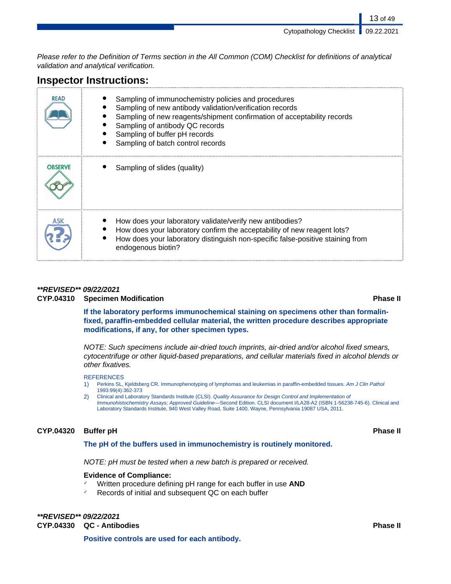Please refer to the Definition of Terms section in the All Common (COM) Checklist for definitions of analytical validation and analytical verification.

## **Inspector Instructions:**

| <b>READ</b>    | Sampling of immunochemistry policies and procedures<br>Sampling of new antibody validation/verification records<br>Sampling of new reagents/shipment confirmation of acceptability records<br>Sampling of antibody QC records<br>Sampling of buffer pH records<br>Sampling of batch control records |
|----------------|-----------------------------------------------------------------------------------------------------------------------------------------------------------------------------------------------------------------------------------------------------------------------------------------------------|
| <b>OBSERVE</b> | Sampling of slides (quality)                                                                                                                                                                                                                                                                        |
|                | How does your laboratory validate/verify new antibodies?<br>How does your laboratory confirm the acceptability of new reagent lots?<br>How does your laboratory distinguish non-specific false-positive staining from<br>endogenous biotin?                                                         |

#### **\*\*REVISED\*\* 09/22/2021**

**CYP.04310 Specimen Modification Phase II**

**If the laboratory performs immunochemical staining on specimens other than formalinfixed, paraffin-embedded cellular material, the written procedure describes appropriate modifications, if any, for other specimen types.**

NOTE: Such specimens include air-dried touch imprints, air-dried and/or alcohol fixed smears, cytocentrifuge or other liquid-based preparations, and cellular materials fixed in alcohol blends or other fixatives.

#### **REFERENCES**

- 1) Perkins SL, Kjeldsberg CR. Immunophenotyping of lymphomas and leukemias in paraffin-embedded tissues. Am J Clin Pathol 1993:99(4):362-373
- 2) Clinical and Laboratory Standards Institute (CLSI). Quality Assurance for Design Control and Implementation of Immunohistochemistry Assays; Approved Guideline—Second Edition. CLSI document I/LA28-A2 (ISBN 1-56238-745-6). Clinical and Laboratory Standards Institute, 940 West Valley Road, Suite 1400, Wayne, Pennsylvania 19087 USA, 2011.

#### **CYP.04320 Buffer pH Phase II**

#### **The pH of the buffers used in immunochemistry is routinely monitored.**

NOTE: pH must be tested when a new batch is prepared or received.

#### **Evidence of Compliance:**

- Written procedure defining pH range for each buffer in use **AND**
- ✓ Records of initial and subsequent QC on each buffer

#### **\*\*REVISED\*\* 09/22/2021 CYP.04330 QC - Antibodies Phase II**

**Positive controls are used for each antibody.**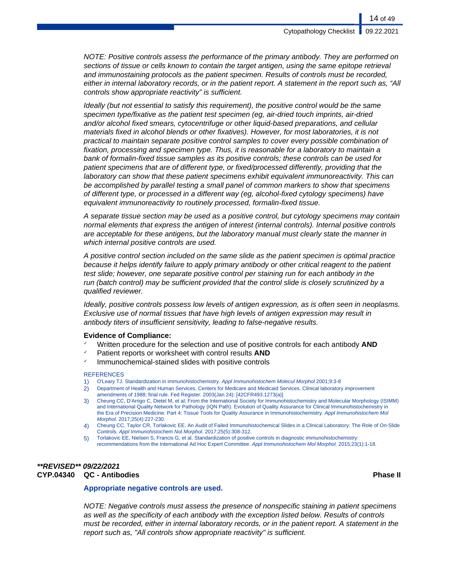NOTE: Positive controls assess the performance of the primary antibody. They are performed on sections of tissue or cells known to contain the target antigen, using the same epitope retrieval and immunostaining protocols as the patient specimen. Results of controls must be recorded, either in internal laboratory records, or in the patient report. A statement in the report such as, "All controls show appropriate reactivity" is sufficient.

Ideally (but not essential to satisfy this requirement), the positive control would be the same specimen type/fixative as the patient test specimen (eg, air-dried touch imprints, air-dried and/or alcohol fixed smears, cytocentrifuge or other liquid-based preparations, and cellular materials fixed in alcohol blends or other fixatives). However, for most laboratories, it is not practical to maintain separate positive control samples to cover every possible combination of fixation, processing and specimen type. Thus, it is reasonable for a laboratory to maintain a bank of formalin-fixed tissue samples as its positive controls; these controls can be used for patient specimens that are of different type, or fixed/processed differently, providing that the laboratory can show that these patient specimens exhibit equivalent immunoreactivity. This can be accomplished by parallel testing a small panel of common markers to show that specimens of different type, or processed in a different way (eg, alcohol-fixed cytology specimens) have equivalent immunoreactivity to routinely processed, formalin-fixed tissue.

A separate tissue section may be used as a positive control, but cytology specimens may contain normal elements that express the antigen of interest (internal controls). Internal positive controls are acceptable for these antigens, but the laboratory manual must clearly state the manner in which internal positive controls are used.

A positive control section included on the same slide as the patient specimen is optimal practice because it helps identify failure to apply primary antibody or other critical reagent to the patient test slide; however, one separate positive control per staining run for each antibody in the run (batch control) may be sufficient provided that the control slide is closely scrutinized by a qualified reviewer.

Ideally, positive controls possess low levels of antigen expression, as is often seen in neoplasms. Exclusive use of normal tissues that have high levels of antigen expression may result in antibody titers of insufficient sensitivity, leading to false-negative results.

#### **Evidence of Compliance:**

- ✓ Written procedure for the selection and use of positive controls for each antibody **AND**
- Patient reports or worksheet with control results **AND**
- Immunochemical-stained slides with positive controls

#### **REFERENCES**

- 1) O'Leary TJ. Standardization in immunohistochemistry. Appl Immunohistochem Molecul Morphol 2001;9:3-8
- 2) Department of Health and Human Services, Centers for Medicare and Medicaid Services. Clinical laboratory improvement amendments of 1988; final rule. Fed Register. 2003(Jan 24): [42CFR493.1273(a)]
- 3) Cheung CC, D'Arrigo C, Dietel M, et al; From the International Society for Immunohistochemistry and Molecular Morphology (ISIMM) and International Quality Network for Pathology (IQN Path). Evolution of Quality Assurance for Clinical Immunohistochemistry in the Era of Precision Medicine: Part 4: Tissue Tools for Quality Assurance in Immunohistochemistry. Appl Immunohistochem Mol Morphol. 2017;25(4):227-230.
- 4) Cheung CC, Taylor CR, Torlakovic EE. An Audit of Failed Immunohistochemical Slides in a Clinical Laboratory: The Role of On-Slide Controls. Appl Immunohistochem Nol Morphol. 2017;25(5):308-312.
- 5) Torlakovic EE, Nielsen S, Francis G, et al. Standardization of positive controls in diagnostic immunohistochemistry: recommendations from the International Ad Hoc Expert Committee. Appl Immunohistochem Mol Morphol. 2015;23(1):1-18.

#### **\*\*REVISED\*\* 09/22/2021 CYP.04340 QC - Antibodies Phase II**

#### **Appropriate negative controls are used.**

NOTE: Negative controls must assess the presence of nonspecific staining in patient specimens as well as the specificity of each antibody with the exception listed below. Results of controls must be recorded, either in internal laboratory records, or in the patient report. A statement in the report such as, "All controls show appropriate reactivity" is sufficient.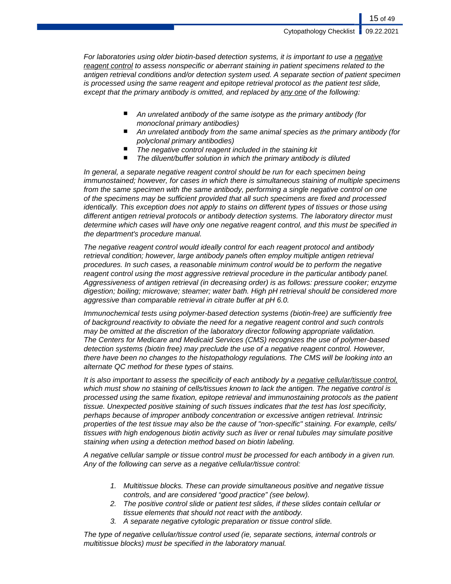For laboratories using older biotin-based detection systems, it is important to use a negative reagent control to assess nonspecific or aberrant staining in patient specimens related to the antigen retrieval conditions and/or detection system used. A separate section of patient specimen is processed using the same reagent and epitope retrieval protocol as the patient test slide, except that the primary antibody is omitted, and replaced by any one of the following:

- An unrelated antibody of the same isotype as the primary antibody (for monoclonal primary antibodies)
- An unrelated antibody from the same animal species as the primary antibody (for polyclonal primary antibodies)
- The negative control reagent included in the staining kit
- The diluent/buffer solution in which the primary antibody is diluted

In general, a separate negative reagent control should be run for each specimen being immunostained; however, for cases in which there is simultaneous staining of multiple specimens from the same specimen with the same antibody, performing a single negative control on one of the specimens may be sufficient provided that all such specimens are fixed and processed identically. This exception does not apply to stains on different types of tissues or those using different antigen retrieval protocols or antibody detection systems. The laboratory director must determine which cases will have only one negative reagent control, and this must be specified in the department's procedure manual.

The negative reagent control would ideally control for each reagent protocol and antibody retrieval condition; however, large antibody panels often employ multiple antigen retrieval procedures. In such cases, a reasonable minimum control would be to perform the negative reagent control using the most aggressive retrieval procedure in the particular antibody panel. Aggressiveness of antigen retrieval (in decreasing order) is as follows: pressure cooker; enzyme digestion; boiling; microwave; steamer; water bath. High pH retrieval should be considered more aggressive than comparable retrieval in citrate buffer at pH 6.0.

Immunochemical tests using polymer-based detection systems (biotin-free) are sufficiently free of background reactivity to obviate the need for a negative reagent control and such controls may be omitted at the discretion of the laboratory director following appropriate validation. The Centers for Medicare and Medicaid Services (CMS) recognizes the use of polymer-based detection systems (biotin free) may preclude the use of a negative reagent control. However, there have been no changes to the histopathology regulations. The CMS will be looking into an alternate QC method for these types of stains.

It is also important to assess the specificity of each antibody by a negative cellular/tissue control, which must show no staining of cells/tissues known to lack the antigen. The negative control is processed using the same fixation, epitope retrieval and immunostaining protocols as the patient tissue. Unexpected positive staining of such tissues indicates that the test has lost specificity, perhaps because of improper antibody concentration or excessive antigen retrieval. Intrinsic properties of the test tissue may also be the cause of "non-specific" staining. For example, cells/ tissues with high endogenous biotin activity such as liver or renal tubules may simulate positive staining when using a detection method based on biotin labeling.

A negative cellular sample or tissue control must be processed for each antibody in a given run. Any of the following can serve as a negative cellular/tissue control:

- 1. Multitissue blocks. These can provide simultaneous positive and negative tissue controls, and are considered "good practice" (see below).
- 2. The positive control slide or patient test slides, if these slides contain cellular or tissue elements that should not react with the antibody.
- 3. A separate negative cytologic preparation or tissue control slide.

The type of negative cellular/tissue control used (ie, separate sections, internal controls or multitissue blocks) must be specified in the laboratory manual.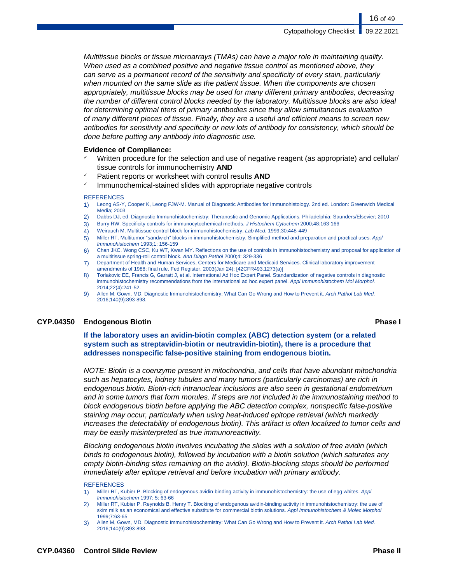Multitissue blocks or tissue microarrays (TMAs) can have a major role in maintaining quality. When used as a combined positive and negative tissue control as mentioned above, they can serve as a permanent record of the sensitivity and specificity of every stain, particularly when mounted on the same slide as the patient tissue. When the components are chosen appropriately, multitissue blocks may be used for many different primary antibodies, decreasing the number of different control blocks needed by the laboratory. Multitissue blocks are also ideal for determining optimal titers of primary antibodies since they allow simultaneous evaluation of many different pieces of tissue. Finally, they are a useful and efficient means to screen new antibodies for sensitivity and specificity or new lots of antibody for consistency, which should be done before putting any antibody into diagnostic use.

#### **Evidence of Compliance:**

- Written procedure for the selection and use of negative reagent (as appropriate) and cellular/ tissue controls for immunochemistry **AND**
- Patient reports or worksheet with control results **AND**
- $\checkmark$  Immunochemical-stained slides with appropriate negative controls

#### **REFERENCES**

- 1) Leong AS-Y, Cooper K, Leong FJW-M. Manual of Diagnostic Antibodies for Immunohistology. 2nd ed. London: Greenwich Medical Media; 2003
- 2) Dabbs DJ, ed. Diagnostic Immunohistochemistry: Theranostic and Genomic Applications. Philadelphia: Saunders/Elsevier; 2010
- 3) Burry RW. Specificity controls for immunocytochemical methods. J Histochem Cytochem 2000;48:163-166
- 4) Weirauch M. Multitissue control block for immunohistochemistry. Lab Med. 1999;30:448-449
- 5) Miller RT. Multitumor "sandwich" blocks in immunohistochemistry. Simplified method and preparation and practical uses. Appl Immunohistochem 1993;1: 156-159
- 6) Chan JKC, Wong CSC, Ku WT, Kwan MY. Reflections on the use of controls in immunohistochemistry and proposal for application of a multitissue spring-roll control block. Ann Diagn Pathol 2000;4: 329-336
- 7) Department of Health and Human Services, Centers for Medicare and Medicaid Services. Clinical laboratory improvement amendments of 1988; final rule. Fed Register. 2003(Jan 24): [42CFR493.1273(a)]
- 8) Torlakovic EE, Francis G, Garratt J, et al. International Ad Hoc Expert Panel. Standardization of negative controls in diagnostic immunohistochemistry recommendations from the international ad hoc expert panel. Appl Immunohistochem Mol Morphol. 2014;22(4):241-52.
- 9) Allen M, Gown, MD. Diagnostic Immunohistochemistry: What Can Go Wrong and How to Prevent it. Arch Pathol Lab Med. 2016;140(9):893-898.

#### **CYP.04350 Endogenous Biotin Phase I**

**If the laboratory uses an avidin-biotin complex (ABC) detection system (or a related system such as streptavidin-biotin or neutravidin-biotin), there is a procedure that addresses nonspecific false-positive staining from endogenous biotin.**

NOTE: Biotin is a coenzyme present in mitochondria, and cells that have abundant mitochondria such as hepatocytes, kidney tubules and many tumors (particularly carcinomas) are rich in endogenous biotin. Biotin-rich intranuclear inclusions are also seen in gestational endometrium and in some tumors that form morules. If steps are not included in the immunostaining method to block endogenous biotin before applying the ABC detection complex, nonspecific false-positive staining may occur, particularly when using heat-induced epitope retrieval (which markedly increases the detectability of endogenous biotin). This artifact is often localized to tumor cells and may be easily misinterpreted as true immunoreactivity.

Blocking endogenous biotin involves incubating the slides with a solution of free avidin (which binds to endogenous biotin), followed by incubation with a biotin solution (which saturates any empty biotin-binding sites remaining on the avidin). Biotin-blocking steps should be performed immediately after epitope retrieval and before incubation with primary antibody.

#### **REFERENCES**

- 1) Miller RT, Kubier P. Blocking of endogenous avidin-binding activity in immunohistochemistry: the use of egg whites. Appl Immunohistochem 1997; 5: 63-66
- 2) Miller RT, Kubier P, Reynolds B, Henry T. Blocking of endogenous avidin-binding activity in immunohistochemistry: the use of skim milk as an economical and effective substitute for commercial biotin solutions. Appl Immunohistochem & Molec Morphol 1999;7:63-65
- 3) Allen M, Gown, MD. Diagnostic Immunohistochemistry: What Can Go Wrong and How to Prevent it. Arch Pathol Lab Med. 2016;140(9):893-898.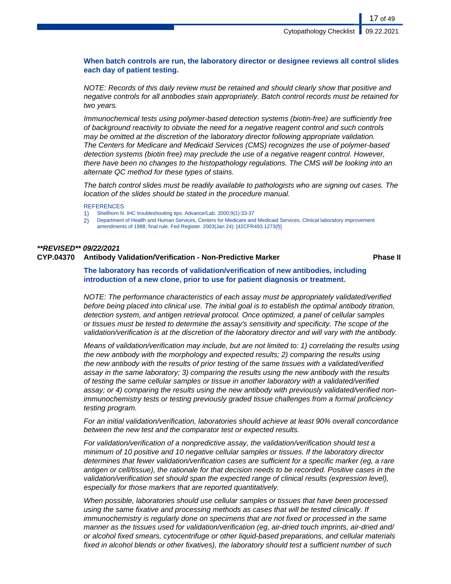#### **When batch controls are run, the laboratory director or designee reviews all control slides each day of patient testing.**

NOTE: Records of this daily review must be retained and should clearly show that positive and negative controls for all antibodies stain appropriately. Batch control records must be retained for two years.

Immunochemical tests using polymer-based detection systems (biotin-free) are sufficiently free of background reactivity to obviate the need for a negative reagent control and such controls may be omitted at the discretion of the laboratory director following appropriate validation. The Centers for Medicare and Medicaid Services (CMS) recognizes the use of polymer-based detection systems (biotin free) may preclude the use of a negative reagent control. However, there have been no changes to the histopathology regulations. The CMS will be looking into an alternate QC method for these types of stains.

The batch control slides must be readily available to pathologists who are signing out cases. The location of the slides should be stated in the procedure manual.

REFERENCES

- 1) Shellhorn N. IHC troubleshooting tips. Advance/Lab. 2000;9(1):33-37
- 2) Department of Health and Human Services, Centers for Medicare and Medicaid Services. Clinical laboratory improvement amendments of 1988; final rule. Fed Register. 2003(Jan 24): [42CFR493.1273(f)]

#### **\*\*REVISED\*\* 09/22/2021**

#### **CYP.04370 Antibody Validation/Verification - Non-Predictive Marker Phase II**

#### **The laboratory has records of validation/verification of new antibodies, including introduction of a new clone, prior to use for patient diagnosis or treatment.**

NOTE: The performance characteristics of each assay must be appropriately validated/verified before being placed into clinical use. The initial goal is to establish the optimal antibody titration, detection system, and antigen retrieval protocol. Once optimized, a panel of cellular samples or tissues must be tested to determine the assay's sensitivity and specificity. The scope of the validation/verification is at the discretion of the laboratory director and will vary with the antibody.

Means of validation/verification may include, but are not limited to: 1) correlating the results using the new antibody with the morphology and expected results; 2) comparing the results using the new antibody with the results of prior testing of the same tissues with a validated/verified assay in the same laboratory; 3) comparing the results using the new antibody with the results of testing the same cellular samples or tissue in another laboratory with a validated/verified assay; or 4) comparing the results using the new antibody with previously validated/verified nonimmunochemistry tests or testing previously graded tissue challenges from a formal proficiency testing program.

For an initial validation/verification, laboratories should achieve at least 90% overall concordance between the new test and the comparator test or expected results.

For validation/verification of a nonpredictive assay, the validation/verification should test a minimum of 10 positive and 10 negative cellular samples or tissues. If the laboratory director determines that fewer validation/verification cases are sufficient for a specific marker (eg, a rare antigen or cell/tissue), the rationale for that decision needs to be recorded. Positive cases in the validation/verification set should span the expected range of clinical results (expression level), especially for those markers that are reported quantitatively.

When possible, laboratories should use cellular samples or tissues that have been processed using the same fixative and processing methods as cases that will be tested clinically. If immunochemistry is regularly done on specimens that are not fixed or processed in the same manner as the tissues used for validation/verification (eg, air-dried touch imprints, air-dried and/ or alcohol fixed smears, cytocentrifuge or other liquid-based preparations, and cellular materials fixed in alcohol blends or other fixatives), the laboratory should test a sufficient number of such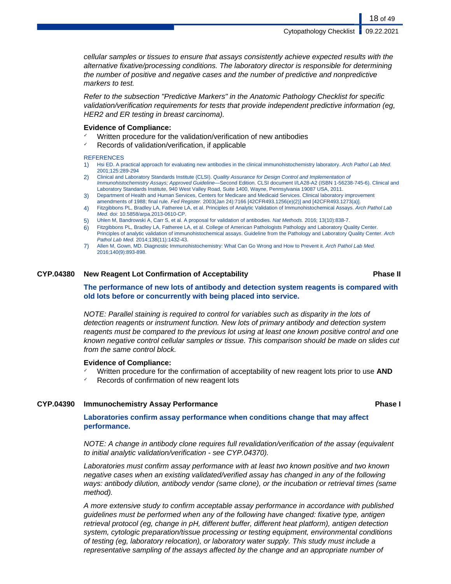cellular samples or tissues to ensure that assays consistently achieve expected results with the alternative fixative/processing conditions. The laboratory director is responsible for determining the number of positive and negative cases and the number of predictive and nonpredictive markers to test.

Refer to the subsection "Predictive Markers" in the Anatomic Pathology Checklist for specific validation/verification requirements for tests that provide independent predictive information (eg, HER2 and ER testing in breast carcinoma).

#### **Evidence of Compliance:**

- Written procedure for the validation/verification of new antibodies
- ✓ Records of validation/verification, if applicable

#### **REFERENCES**

- 1) Hsi ED. A practical approach for evaluating new antibodies in the clinical immunohistochemistry laboratory. Arch Pathol Lab Med. 2001;125:289-294
- 2) Clinical and Laboratory Standards Institute (CLSI). Quality Assurance for Design Control and Implementation of Immunohistochemistry Assays; Approved Guideline—Second Edition. CLSI document I/LA28-A2 (ISBN 1-56238-745-6). Clinical and Laboratory Standards Institute, 940 West Valley Road, Suite 1400, Wayne, Pennsylvania 19087 USA, 2011.
- 3) Department of Health and Human Services, Centers for Medicare and Medicaid Services. Clinical laboratory improvement amendments of 1988; final rule. Fed Register. 2003(Jan 24):7166 [42CFR493.1256(e)(2)] and [42CFR493.1273(a)].
- 4) Fitzgibbons PL, Bradley LA, Fatheree LA, et al. Principles of Analytic Validation of Immunohistochemical Assays. Arch Pathol Lab Med. doi: 10.5858/arpa.2013-0610-CP.
- 5) Uhlen M, Bandrowski A, Carr S, et al. A proposal for validation of antibodies. Nat Methods. 2016; 13(10):838-7.
- 6) Fitzgibbons PL, Bradley LA, Fatheree LA, et al. College of American Pathologists Pathology and Laboratory Quality Center. Principles of analytic validation of immunohistochemical assays. Guideline from the Pathology and Laboratory Quality Center. Arch Pathol Lab Med. 2014;138(11):1432-43.
- 7) Allen M, Gown, MD. Diagnostic Immunohistochemistry: What Can Go Wrong and How to Prevent it. Arch Pathol Lab Med. 2016;140(9):893-898.

#### **CYP.04380 New Reagent Lot Confirmation of Acceptability Phase II**

### **The performance of new lots of antibody and detection system reagents is compared with old lots before or concurrently with being placed into service.**

NOTE: Parallel staining is required to control for variables such as disparity in the lots of detection reagents or instrument function. New lots of primary antibody and detection system reagents must be compared to the previous lot using at least one known positive control and one known negative control cellular samples or tissue. This comparison should be made on slides cut from the same control block.

#### **Evidence of Compliance:**

- ✓ Written procedure for the confirmation of acceptability of new reagent lots prior to use **AND**
- Records of confirmation of new reagent lots

#### **CYP.04390 Immunochemistry Assay Performance Phase I**

#### **Laboratories confirm assay performance when conditions change that may affect performance.**

NOTE: A change in antibody clone requires full revalidation/verification of the assay (equivalent to initial analytic validation/verification - see CYP.04370).

Laboratories must confirm assay performance with at least two known positive and two known negative cases when an existing validated/verified assay has changed in any of the following ways: antibody dilution, antibody vendor (same clone), or the incubation or retrieval times (same method).

A more extensive study to confirm acceptable assay performance in accordance with published guidelines must be performed when any of the following have changed: fixative type, antigen retrieval protocol (eg, change in pH, different buffer, different heat platform), antigen detection system, cytologic preparation/tissue processing or testing equipment, environmental conditions of testing (eg, laboratory relocation), or laboratory water supply. This study must include a representative sampling of the assays affected by the change and an appropriate number of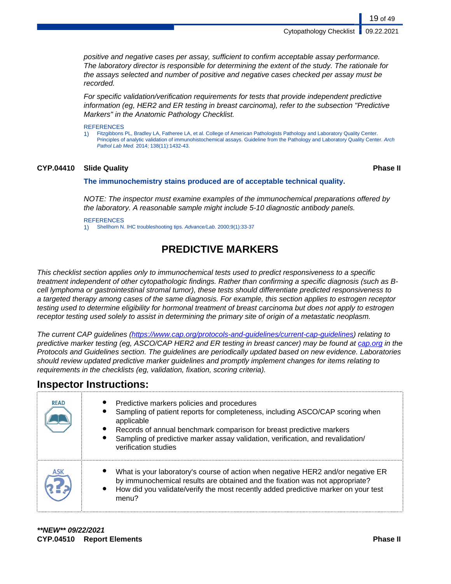positive and negative cases per assay, sufficient to confirm acceptable assay performance. The laboratory director is responsible for determining the extent of the study. The rationale for the assays selected and number of positive and negative cases checked per assay must be recorded.

For specific validation/verification requirements for tests that provide independent predictive information (eg, HER2 and ER testing in breast carcinoma), refer to the subsection "Predictive Markers" in the Anatomic Pathology Checklist.

#### **REFERENCES**

1) Fitzgibbons PL, Bradley LA, Fatheree LA, et al. College of American Pathologists Pathology and Laboratory Quality Center. Principles of analytic validation of immunohistochemical assays. Guideline from the Pathology and Laboratory Quality Center. Arch Pathol Lab Med. 2014; 138(11):1432-43.

### **CYP.04410 Slide Quality Phase II**

19 of 49

#### **The immunochemistry stains produced are of acceptable technical quality.**

NOTE: The inspector must examine examples of the immunochemical preparations offered by the laboratory. A reasonable sample might include 5-10 diagnostic antibody panels.

**REFERENCES** 1) Shellhorn N. IHC troubleshooting tips. Advance/Lab. 2000;9(1):33-37

## **PREDICTIVE MARKERS**

This checklist section applies only to immunochemical tests used to predict responsiveness to a specific treatment independent of other cytopathologic findings. Rather than confirming a specific diagnosis (such as Bcell lymphoma or gastrointestinal stromal tumor), these tests should differentiate predicted responsiveness to a targeted therapy among cases of the same diagnosis. For example, this section applies to estrogen receptor testing used to determine eligibility for hormonal treatment of breast carcinoma but does not apply to estrogen receptor testing used solely to assist in determining the primary site of origin of a metastatic neoplasm.

The current CAP guidelines (<https://www.cap.org/protocols-and-guidelines/current-cap-guidelines>) relating to predictive marker testing (eg, ASCO/CAP HER2 and ER testing in breast cancer) may be found at [cap.org](http://www.cap.org) in the Protocols and Guidelines section. The guidelines are periodically updated based on new evidence. Laboratories should review updated predictive marker guidelines and promptly implement changes for items relating to requirements in the checklists (eg, validation, fixation, scoring criteria).

## **Inspector Instructions:**

| <b>READ</b> | Predictive markers policies and procedures<br>Sampling of patient reports for completeness, including ASCO/CAP scoring when<br>applicable<br>Records of annual benchmark comparison for breast predictive markers<br>$\bullet$<br>Sampling of predictive marker assay validation, verification, and revalidation/<br>verification studies |
|-------------|-------------------------------------------------------------------------------------------------------------------------------------------------------------------------------------------------------------------------------------------------------------------------------------------------------------------------------------------|
|             | What is your laboratory's course of action when negative HER2 and/or negative ER<br>by immunochemical results are obtained and the fixation was not appropriate?<br>How did you validate/verify the most recently added predictive marker on your test<br>menu?                                                                           |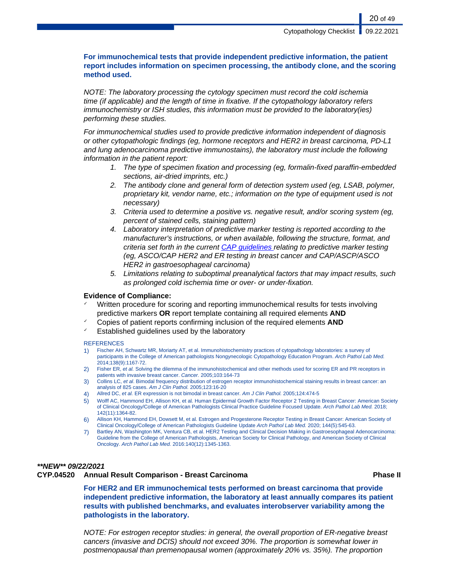#### **For immunochemical tests that provide independent predictive information, the patient report includes information on specimen processing, the antibody clone, and the scoring method used.**

NOTE: The laboratory processing the cytology specimen must record the cold ischemia time (if applicable) and the length of time in fixative. If the cytopathology laboratory refers immunochemistry or ISH studies, this information must be provided to the laboratory(ies) performing these studies.

For immunochemical studies used to provide predictive information independent of diagnosis or other cytopathologic findings (eg, hormone receptors and HER2 in breast carcinoma, PD-L1 and lung adenocarcinoma predictive immunostains), the laboratory must include the following information in the patient report:

- 1. The type of specimen fixation and processing (eg, formalin-fixed paraffin-embedded sections, air-dried imprints, etc.)
- 2. The antibody clone and general form of detection system used (eg, LSAB, polymer, proprietary kit, vendor name, etc.; information on the type of equipment used is not necessary)
- 3. Criteria used to determine a positive vs. negative result, and/or scoring system (eg, percent of stained cells, staining pattern)
- 4. Laboratory interpretation of predictive marker testing is reported according to the manufacturer's instructions, or when available, following the structure, format, and criteria set forth in the current [CAP guidelines](https://www.cap.org/protocols-and-guidelines/current-cap-guidelines) relating to predictive marker testing (eg, ASCO/CAP HER2 and ER testing in breast cancer and CAP/ASCP/ASCO HER2 in gastroesophageal carcinoma)
- 5. Limitations relating to suboptimal preanalytical factors that may impact results, such as prolonged cold ischemia time or over- or under-fixation.

#### **Evidence of Compliance:**

- Written procedure for scoring and reporting immunochemical results for tests involving predictive markers **OR** report template containing all required elements **AND**
- ✓ Copies of patient reports confirming inclusion of the required elements **AND**
- $\checkmark$  Established quidelines used by the laboratory

#### **REFERENCES**

- 1) Fischer AH, Schwartz MR, Moriarty AT, et al. Immunohistochemistry practices of cytopathology laboratories: a survey of participants in the College of American pathologists Nongynecologic Cytopathology Education Program. Arch Pathol Lab Med. 2014;138(9):1167-72.
- 2) Fisher ER, et al. Solving the dilemma of the immunohistochemical and other methods used for scoring ER and PR receptors in patients with invasive breast cancer. Cancer. 2005;103:164-73
- 3) Collins LC, et al. Bimodal frequency distribution of estrogen receptor immunohistochemical staining results in breast cancer: an analysis of 825 cases. Am J Clin Pathol. 2005;123:16-20
- 4) Allred DC, et al. ER expression is not bimodal in breast cancer. Am J Clin Pathol. 2005:124:474-5
- 5) Wolff AC, Hammond EH, Allison KH, et al. Human Epidermal Growth Factor Receptor 2 Testing in Breast Cancer: American Society of Clinical Oncology/College of American Pathologists Clinical Practice Guideline Focused Update. Arch Pathol Lab Med. 2018; 142(11):1364-82.
- 6) Allison KH, Hammond EH, Dowsett M, et al. Estrogen and Progesterone Receptor Testing in Breast Cancer: American Society of Clinical Oncology/College of American Pathologists Guideline Update Arch Pathol Lab Med. 2020; 144(5):545-63.
- 7) Bartley AN, Washington MK, Ventura CB, et al. HER2 Testing and Clinical Decision Making in Gastroesophageal Adenocarcinoma: Guideline from the College of American Pathologists, American Society for Clinical Pathology, and American Society of Clinical Oncology. Arch Pathol Lab Med. 2016:140(12):1345-1363.

### **\*\*NEW\*\* 09/22/2021**

#### **CYP.04520 Annual Result Comparison - Breast Carcinoma Phase II**

**For HER2 and ER immunochemical tests performed on breast carcinoma that provide independent predictive information, the laboratory at least annually compares its patient results with published benchmarks, and evaluates interobserver variability among the pathologists in the laboratory.**

NOTE: For estrogen receptor studies: in general, the overall proportion of ER-negative breast cancers (invasive and DCIS) should not exceed 30%. The proportion is somewhat lower in postmenopausal than premenopausal women (approximately 20% vs. 35%). The proportion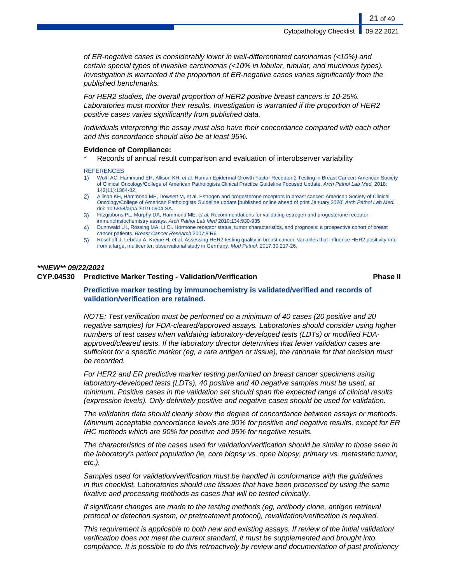of ER-negative cases is considerably lower in well-differentiated carcinomas (<10%) and certain special types of invasive carcinomas (<10% in lobular, tubular, and mucinous types). Investigation is warranted if the proportion of ER-negative cases varies significantly from the published benchmarks.

For HER2 studies, the overall proportion of HER2 positive breast cancers is 10-25%. Laboratories must monitor their results. Investigation is warranted if the proportion of HER2 positive cases varies significantly from published data.

Individuals interpreting the assay must also have their concordance compared with each other and this concordance should also be at least 95%.

#### **Evidence of Compliance:**

Records of annual result comparison and evaluation of interobserver variability

#### **REFERENCES**

- 1) Wolff AC, Hammond EH, Allison KH, et al. Human Epidermal Growth Factor Receptor 2 Testing in Breast Cancer: American Society of Clinical Oncology/College of American Pathologists Clinical Practice Guideline Focused Update. Arch Pathol Lab Med. 2018; 142(11):1364-82.
- 2) Allison KH, Hammond ME, Dowsett M, et al. Estrogen and progesterone receptors in breast cancer: American Society of Clinical Oncology/College of American Pathologists Guideline update [published online ahead of print January 2020] Arch Pathol Lab Med. doi: 10.5858/arpa.2019-0904-SA.
- 3) Fitzgibbons PL, Murphy DA, Hammond ME, et al. Recommendations for validating estrogen and progesterone receptor immunohistochemistry assays. Arch Pathol Lab Med 2010;134:930-935
- 4) Dunnwald LK, Rossing MA, Li CI. Hormone receptor status, tumor characteristics, and prognosis: a prospective cohort of breast cancer patients. Breast Cancer Research 2007;9:R6
- 5) Rüschoff J, Lebeau A, Kreipe H, et al. Assessing HER2 testing quality in breast cancer: variables that influence HER2 positivity rate from a large, multicenter, observational study in Germany. Mod Pathol. 2017;30:217-26.

#### **\*\*NEW\*\* 09/22/2021 CYP.04530 Predictive Marker Testing - Validation/Verification Phase II**

#### **Predictive marker testing by immunochemistry is validated/verified and records of validation/verification are retained.**

NOTE: Test verification must be performed on a minimum of 40 cases (20 positive and 20 negative samples) for FDA-cleared/approved assays. Laboratories should consider using higher numbers of test cases when validating laboratory-developed tests (LDTs) or modified FDAapproved/cleared tests. If the laboratory director determines that fewer validation cases are sufficient for a specific marker (eg, a rare antigen or tissue), the rationale for that decision must be recorded.

For HER2 and ER predictive marker testing performed on breast cancer specimens using laboratory-developed tests (LDTs), 40 positive and 40 negative samples must be used, at minimum. Positive cases in the validation set should span the expected range of clinical results (expression levels). Only definitely positive and negative cases should be used for validation.

The validation data should clearly show the degree of concordance between assays or methods. Minimum acceptable concordance levels are 90% for positive and negative results, except for ER IHC methods which are 90% for positive and 95% for negative results.

The characteristics of the cases used for validation/verification should be similar to those seen in the laboratory's patient population (ie, core biopsy vs. open biopsy, primary vs. metastatic tumor, etc.).

Samples used for validation/verification must be handled in conformance with the guidelines in this checklist. Laboratories should use tissues that have been processed by using the same fixative and processing methods as cases that will be tested clinically.

If significant changes are made to the testing methods (eg, antibody clone, antigen retrieval protocol or detection system, or pretreatment protocol), revalidation/verification is required.

This requirement is applicable to both new and existing assays. If review of the initial validation/ verification does not meet the current standard, it must be supplemented and brought into compliance. It is possible to do this retroactively by review and documentation of past proficiency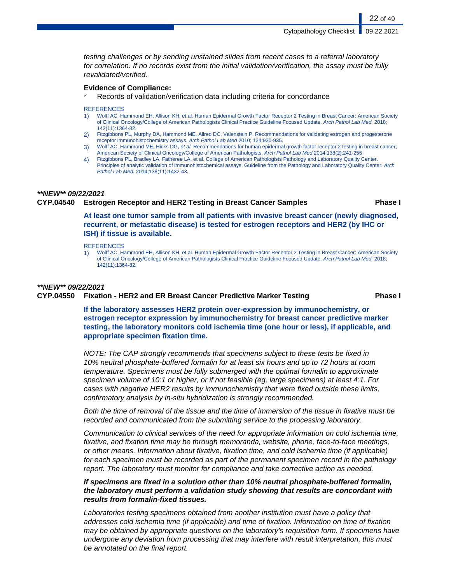testing challenges or by sending unstained slides from recent cases to a referral laboratory for correlation. If no records exist from the initial validation/verification, the assay must be fully revalidated/verified.

#### **Evidence of Compliance:**

Records of validation/verification data including criteria for concordance

#### **REFERENCES**

- 1) Wolff AC, Hammond EH, Allison KH, et al. Human Epidermal Growth Factor Receptor 2 Testing in Breast Cancer: American Society of Clinical Oncology/College of American Pathologists Clinical Practice Guideline Focused Update. Arch Pathol Lab Med. 2018; 142(11):1364-82.
- 2) Fitzgibbons PL, Murphy DA, Hammond ME, Allred DC, Valenstein P. Recommendations for validating estrogen and progesterone receptor immunohistochemistry assays. Arch Pathol Lab Med 2010; 134:930-935.
- 3) Wolff AC, Hammond ME, Hicks DG, et al. Recommendations for human epidermal growth factor receptor 2 testing in breast cancer; American Society of Clinical Oncology/College of American Pathologists. Arch Pathol Lab Med 2014;138(2):241-256
- 4) Fitzgibbons PL, Bradley LA, Fatheree LA, et al. College of American Pathologists Pathology and Laboratory Quality Center. Principles of analytic validation of immunohistochemical assays. Guideline from the Pathology and Laboratory Quality Center. Arch Pathol Lab Med. 2014;138(11):1432-43.

#### **\*\*NEW\*\* 09/22/2021**

#### **CYP.04540 Estrogen Receptor and HER2 Testing in Breast Cancer Samples Phase I**

22 of 49

**At least one tumor sample from all patients with invasive breast cancer (newly diagnosed, recurrent, or metastatic disease) is tested for estrogen receptors and HER2 (by IHC or ISH) if tissue is available.**

**REFERENCES** 

1) Wolff AC, Hammond EH, Allison KH, et al. Human Epidermal Growth Factor Receptor 2 Testing in Breast Cancer: American Society of Clinical Oncology/College of American Pathologists Clinical Practice Guideline Focused Update. Arch Pathol Lab Med. 2018; 142(11):1364-82.

#### **\*\*NEW\*\* 09/22/2021**

#### **CYP.04550 Fixation - HER2 and ER Breast Cancer Predictive Marker Testing Phase I**

**If the laboratory assesses HER2 protein over-expression by immunochemistry, or estrogen receptor expression by immunochemistry for breast cancer predictive marker testing, the laboratory monitors cold ischemia time (one hour or less), if applicable, and appropriate specimen fixation time.**

NOTE: The CAP strongly recommends that specimens subject to these tests be fixed in 10% neutral phosphate-buffered formalin for at least six hours and up to 72 hours at room temperature. Specimens must be fully submerged with the optimal formalin to approximate specimen volume of 10:1 or higher, or if not feasible (eg, large specimens) at least 4:1. For cases with negative HER2 results by immunochemistry that were fixed outside these limits, confirmatory analysis by in-situ hybridization is strongly recommended.

Both the time of removal of the tissue and the time of immersion of the tissue in fixative must be recorded and communicated from the submitting service to the processing laboratory.

Communication to clinical services of the need for appropriate information on cold ischemia time, fixative, and fixation time may be through memoranda, website, phone, face-to-face meetings, or other means. Information about fixative, fixation time, and cold ischemia time (if applicable) for each specimen must be recorded as part of the permanent specimen record in the pathology report. The laboratory must monitor for compliance and take corrective action as needed.

#### **If specimens are fixed in a solution other than 10% neutral phosphate-buffered formalin, the laboratory must perform a validation study showing that results are concordant with results from formalin-fixed tissues.**

Laboratories testing specimens obtained from another institution must have a policy that addresses cold ischemia time (if applicable) and time of fixation. Information on time of fixation may be obtained by appropriate questions on the laboratory's requisition form. If specimens have undergone any deviation from processing that may interfere with result interpretation, this must be annotated on the final report.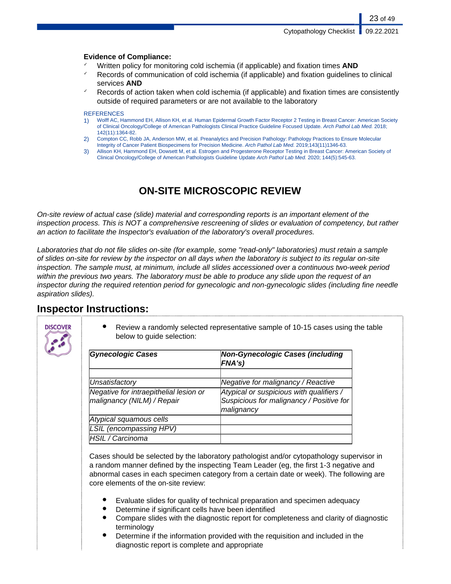#### **Evidence of Compliance:**

- ✓ Written policy for monitoring cold ischemia (if applicable) and fixation times **AND**
- Records of communication of cold ischemia (if applicable) and fixation guidelines to clinical services **AND**
- Records of action taken when cold ischemia (if applicable) and fixation times are consistently outside of required parameters or are not available to the laboratory

#### **REFERENCES**

- 1) Wolff AC, Hammond EH, Allison KH, et al. Human Epidermal Growth Factor Receptor 2 Testing in Breast Cancer: American Society of Clinical Oncology/College of American Pathologists Clinical Practice Guideline Focused Update. Arch Pathol Lab Med. 2018; 142(11):1364-82.
- 2) Compton CC, Robb JA, Anderson MW, et al. Preanalytics and Precision Pathology: Pathology Practices to Ensure Molecular Integrity of Cancer Patient Biospecimens for Precision Medicine. Arch Pathol Lab Med. 2019;143(11)1346-63.
- 3) Allison KH, Hammond EH, Dowsett M, et al. Estrogen and Progesterone Receptor Testing in Breast Cancer: American Society of Clinical Oncology/College of American Pathologists Guideline Update Arch Pathol Lab Med. 2020; 144(5):545-63.

## **ON-SITE MICROSCOPIC REVIEW**

On-site review of actual case (slide) material and corresponding reports is an important element of the inspection process. This is NOT a comprehensive rescreening of slides or evaluation of competency, but rather an action to facilitate the Inspector's evaluation of the laboratory's overall procedures.

Laboratories that do not file slides on-site (for example, some "read-only" laboratories) must retain a sample of slides on-site for review by the inspector on all days when the laboratory is subject to its regular on-site inspection. The sample must, at minimum, include all slides accessioned over a continuous two-week period within the previous two years. The laboratory must be able to produce any slide upon the request of an inspector during the required retention period for gynecologic and non-gynecologic slides (including fine needle aspiration slides).

## **Inspector Instructions:**



Review a randomly selected representative sample of 10-15 cases using the table below to guide selection:

| <b>Gynecologic Cases</b>                                             | <b>Non-Gynecologic Cases (including</b><br>FNA's)                                                  |
|----------------------------------------------------------------------|----------------------------------------------------------------------------------------------------|
|                                                                      |                                                                                                    |
| Unsatisfactory                                                       | Negative for malignancy / Reactive                                                                 |
| Negative for intraepithelial lesion or<br>malignancy (NILM) / Repair | Atypical or suspicious with qualifiers /<br>Suspicious for malignancy / Positive for<br>malignancy |
| Atypical squamous cells                                              |                                                                                                    |
| <b>LSIL</b> (encompassing HPV)                                       |                                                                                                    |
| <b>HSIL / Carcinoma</b>                                              |                                                                                                    |

Cases should be selected by the laboratory pathologist and/or cytopathology supervisor in a random manner defined by the inspecting Team Leader (eg, the first 1-3 negative and abnormal cases in each specimen category from a certain date or week). The following are core elements of the on-site review:

- Evaluate slides for quality of technical preparation and specimen adequacy
- Determine if significant cells have been identified
- Compare slides with the diagnostic report for completeness and clarity of diagnostic terminology
- Determine if the information provided with the requisition and included in the diagnostic report is complete and appropriate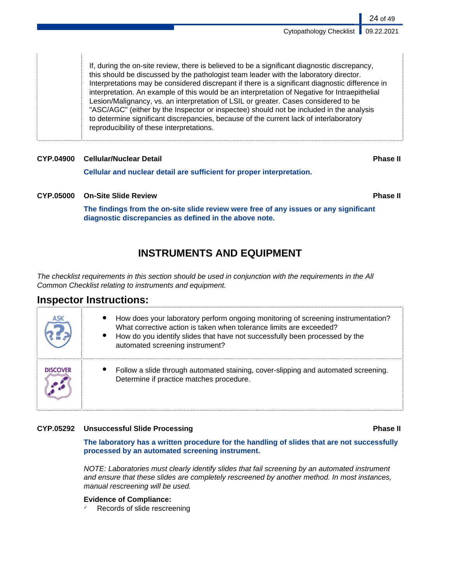If, during the on-site review, there is believed to be a significant diagnostic discrepancy, this should be discussed by the pathologist team leader with the laboratory director. Interpretations may be considered discrepant if there is a significant diagnostic difference in interpretation. An example of this would be an interpretation of Negative for Intraepithelial Lesion/Malignancy, vs. an interpretation of LSIL or greater. Cases considered to be "ASC/AGC" (either by the Inspector or inspectee) should not be included in the analysis to determine significant discrepancies, because of the current lack of interlaboratory reproducibility of these interpretations.

### **CYP.04900 Cellular/Nuclear Detail Phase II**

**Cellular and nuclear detail are sufficient for proper interpretation.**

### **CYP.05000 On-Site Slide Review Phase II**

**The findings from the on-site slide review were free of any issues or any significant diagnostic discrepancies as defined in the above note.**

## **INSTRUMENTS AND EQUIPMENT**

The checklist requirements in this section should be used in conjunction with the requirements in the All Common Checklist relating to instruments and equipment.

## **Inspector Instructions:**

| How does your laboratory perform ongoing monitoring of screening instrumentation?<br>What corrective action is taken when tolerance limits are exceeded?<br>How do you identify slides that have not successfully been processed by the<br>automated screening instrument? |
|----------------------------------------------------------------------------------------------------------------------------------------------------------------------------------------------------------------------------------------------------------------------------|
| Follow a slide through automated staining, cover-slipping and automated screening.<br>Determine if practice matches procedure.                                                                                                                                             |

#### **CYP.05292 Unsuccessful Slide Processing Phase II**

**The laboratory has a written procedure for the handling of slides that are not successfully processed by an automated screening instrument.**

NOTE: Laboratories must clearly identify slides that fail screening by an automated instrument and ensure that these slides are completely rescreened by another method. In most instances, manual rescreening will be used.

#### **Evidence of Compliance:**

Records of slide rescreening

24 of 49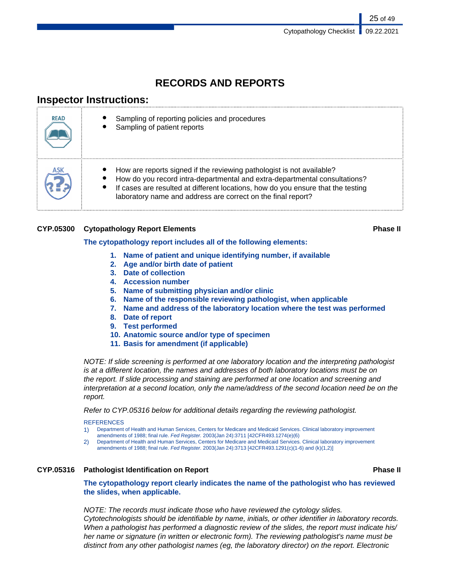## **RECORDS AND REPORTS**

## **Inspector Instructions:**

| <b>READ</b> | Sampling of reporting policies and procedures<br>Sampling of patient reports                                                                                                                                                                                                                            |
|-------------|---------------------------------------------------------------------------------------------------------------------------------------------------------------------------------------------------------------------------------------------------------------------------------------------------------|
|             | How are reports signed if the reviewing pathologist is not available?<br>How do you record intra-departmental and extra-departmental consultations?<br>If cases are resulted at different locations, how do you ensure that the testing<br>laboratory name and address are correct on the final report? |

### **CYP.05300 Cytopathology Report Elements Phase II**

#### **The cytopathology report includes all of the following elements:**

- **1. Name of patient and unique identifying number, if available**
- **2. Age and/or birth date of patient**
- **3. Date of collection**
- **4. Accession number**
- **5. Name of submitting physician and/or clinic**
- **6. Name of the responsible reviewing pathologist, when applicable**
- **7. Name and address of the laboratory location where the test was performed**
- **8. Date of report**
- **9. Test performed**
- **10. Anatomic source and/or type of specimen**
- **11. Basis for amendment (if applicable)**

NOTE: If slide screening is performed at one laboratory location and the interpreting pathologist is at a different location, the names and addresses of both laboratory locations must be on the report. If slide processing and staining are performed at one location and screening and interpretation at a second location, only the name/address of the second location need be on the report.

Refer to CYP.05316 below for additional details regarding the reviewing pathologist.

#### **REFERENCES**

1) Department of Health and Human Services, Centers for Medicare and Medicaid Services. Clinical laboratory improvement amendments of 1988; final rule. Fed Register. 2003(Jan 24):3711 [42CFR493.1274(e)(6)

2) Department of Health and Human Services, Centers for Medicare and Medicaid Services. Clinical laboratory improvement amendments of 1988; final rule. Fed Register. 2003(Jan 24):3713 [42CFR493.1291(c)(1-6) and (k)(1,2)]

### **CYP.05316 Pathologist Identification on Report Phase II**

**The cytopathology report clearly indicates the name of the pathologist who has reviewed the slides, when applicable.**

NOTE: The records must indicate those who have reviewed the cytology slides. Cytotechnologists should be identifiable by name, initials, or other identifier in laboratory records. When a pathologist has performed a diagnostic review of the slides, the report must indicate his/ her name or signature (in written or electronic form). The reviewing pathologist's name must be distinct from any other pathologist names (eg, the laboratory director) on the report. Electronic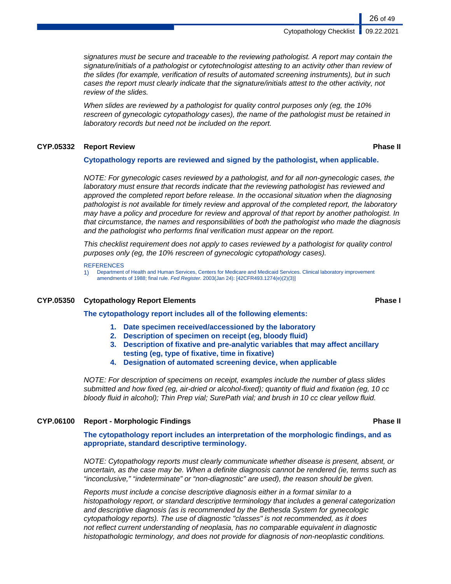signatures must be secure and traceable to the reviewing pathologist. A report may contain the signature/initials of a pathologist or cytotechnologist attesting to an activity other than review of the slides (for example, verification of results of automated screening instruments), but in such cases the report must clearly indicate that the signature/initials attest to the other activity, not review of the slides.

When slides are reviewed by a pathologist for quality control purposes only (eg, the 10% rescreen of gynecologic cytopathology cases), the name of the pathologist must be retained in laboratory records but need not be included on the report.

#### **CYP.05332 Report Review Phase II**

#### **Cytopathology reports are reviewed and signed by the pathologist, when applicable.**

NOTE: For gynecologic cases reviewed by a pathologist, and for all non-gynecologic cases, the laboratory must ensure that records indicate that the reviewing pathologist has reviewed and approved the completed report before release. In the occasional situation when the diagnosing pathologist is not available for timely review and approval of the completed report, the laboratory may have a policy and procedure for review and approval of that report by another pathologist. In that circumstance, the names and responsibilities of both the pathologist who made the diagnosis and the pathologist who performs final verification must appear on the report.

This checklist requirement does not apply to cases reviewed by a pathologist for quality control purposes only (eg, the 10% rescreen of gynecologic cytopathology cases).

#### **REFERENCES**

1) Department of Health and Human Services, Centers for Medicare and Medicaid Services. Clinical laboratory improvement amendments of 1988; final rule. Fed Register. 2003(Jan 24): [42CFR493.1274(e)(2)(3)]

#### **CYP.05350 Cytopathology Report Elements Phase I**

**The cytopathology report includes all of the following elements:**

- **1. Date specimen received/accessioned by the laboratory**
- **2. Description of specimen on receipt (eg, bloody fluid)**
- **3. Description of fixative and pre-analytic variables that may affect ancillary testing (eg, type of fixative, time in fixative)**
- **4. Designation of automated screening device, when applicable**

NOTE: For description of specimens on receipt, examples include the number of glass slides submitted and how fixed (eg, air-dried or alcohol-fixed); quantity of fluid and fixation (eg, 10 cc bloody fluid in alcohol); Thin Prep vial; SurePath vial; and brush in 10 cc clear yellow fluid.

#### **CYP.06100 Report - Morphologic Findings Phase II**

**The cytopathology report includes an interpretation of the morphologic findings, and as appropriate, standard descriptive terminology.**

NOTE: Cytopathology reports must clearly communicate whether disease is present, absent, or uncertain, as the case may be. When a definite diagnosis cannot be rendered (ie, terms such as "inconclusive," "indeterminate" or "non-diagnostic" are used), the reason should be given.

Reports must include a concise descriptive diagnosis either in a format similar to a histopathology report, or standard descriptive terminology that includes a general categorization and descriptive diagnosis (as is recommended by the Bethesda System for gynecologic cytopathology reports). The use of diagnostic "classes" is not recommended, as it does not reflect current understanding of neoplasia, has no comparable equivalent in diagnostic histopathologic terminology, and does not provide for diagnosis of non-neoplastic conditions.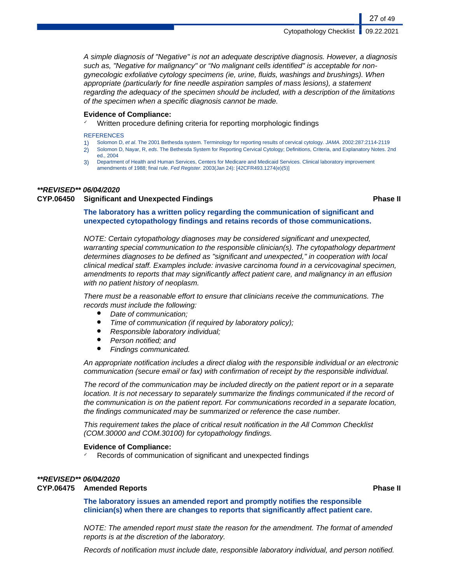A simple diagnosis of "Negative" is not an adequate descriptive diagnosis. However, a diagnosis such as, "Negative for malignancy" or "No malignant cells identified" is acceptable for nongynecologic exfoliative cytology specimens (ie, urine, fluids, washings and brushings). When appropriate (particularly for fine needle aspiration samples of mass lesions), a statement regarding the adequacy of the specimen should be included, with a description of the limitations of the specimen when a specific diagnosis cannot be made.

#### **Evidence of Compliance:**

Written procedure defining criteria for reporting morphologic findings

#### **REFERENCES**

- 1) Solomon D, et al. The 2001 Bethesda system. Terminology for reporting results of cervical cytology. JAMA. 2002:287:2114-2119
- 2) Solomon D, Nayar, R, eds. The Bethesda System for Reporting Cervical Cytology; Definitions, Criteria, and Explanatory Notes. 2nd ed., 2004
- 3) Department of Health and Human Services, Centers for Medicare and Medicaid Services. Clinical laboratory improvement amendments of 1988; final rule. Fed Register. 2003(Jan 24): [42CFR493.1274(e)(5)]

#### **\*\*REVISED\*\* 06/04/2020**

#### **CYP.06450 Significant and Unexpected Findings Phase II**

**The laboratory has a written policy regarding the communication of significant and unexpected cytopathology findings and retains records of those communications.**

NOTE: Certain cytopathology diagnoses may be considered significant and unexpected, warranting special communication to the responsible clinician(s). The cytopathology department determines diagnoses to be defined as "significant and unexpected," in cooperation with local clinical medical staff. Examples include: invasive carcinoma found in a cervicovaginal specimen, amendments to reports that may significantly affect patient care, and malignancy in an effusion with no patient history of neoplasm.

There must be a reasonable effort to ensure that clinicians receive the communications. The records must include the following:

- Date of communication;
- Time of communication (if required by laboratory policy);
- Responsible laboratory individual;
- Person notified; and
- **Findings communicated.**

An appropriate notification includes a direct dialog with the responsible individual or an electronic communication (secure email or fax) with confirmation of receipt by the responsible individual.

The record of the communication may be included directly on the patient report or in a separate location. It is not necessary to separately summarize the findings communicated if the record of the communication is on the patient report. For communications recorded in a separate location, the findings communicated may be summarized or reference the case number.

This requirement takes the place of critical result notification in the All Common Checklist (COM.30000 and COM.30100) for cytopathology findings.

#### **Evidence of Compliance:**

Records of communication of significant and unexpected findings

#### **\*\*REVISED\*\* 06/04/2020 CYP.06475 Amended Reports Phase II**

**The laboratory issues an amended report and promptly notifies the responsible clinician(s) when there are changes to reports that significantly affect patient care.**

NOTE: The amended report must state the reason for the amendment. The format of amended reports is at the discretion of the laboratory.

Records of notification must include date, responsible laboratory individual, and person notified.

27 of 49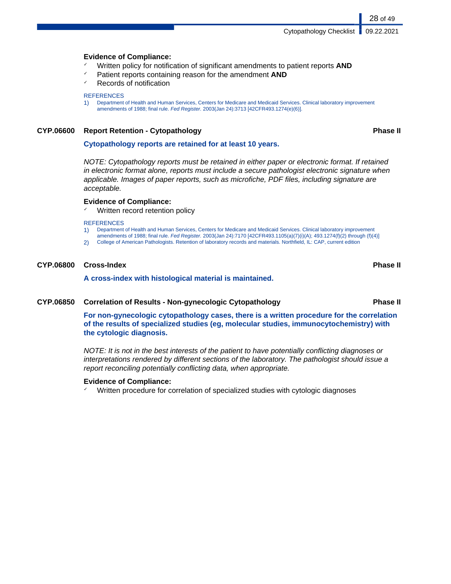#### **Evidence of Compliance:**

- ✓ Written policy for notification of significant amendments to patient reports **AND**
- Patient reports containing reason for the amendment **AND**
- ✓ Records of notification

#### **REFERENCES**

1) Department of Health and Human Services, Centers for Medicare and Medicaid Services. Clinical laboratory improvement amendments of 1988; final rule. Fed Register. 2003(Jan 24):3713 [42CFR493.1274(e)(6)].

#### **CYP.06600 Report Retention - Cytopathology Phase II**

28 of 49

#### **Cytopathology reports are retained for at least 10 years.**

NOTE: Cytopathology reports must be retained in either paper or electronic format. If retained in electronic format alone, reports must include a secure pathologist electronic signature when applicable. Images of paper reports, such as microfiche, PDF files, including signature are acceptable.

#### **Evidence of Compliance:**

Written record retention policy

#### **REFERENCES**

- 1) Department of Health and Human Services, Centers for Medicare and Medicaid Services. Clinical laboratory improvement
- amendments of 1988; final rule. Fed Register. 2003(Jan 24):7170 [42CFR493.1105(a)(7)(i)(A); 493.1274(f)(2) through (f)(4)]
- 2) College of American Pathologists. Retention of laboratory records and materials. Northfield, IL: CAP, current edition

#### **CYP.06800 Cross-Index Phase II**

**A cross-index with histological material is maintained.**

#### **CYP.06850 Correlation of Results - Non-gynecologic Cytopathology Phase II**

**For non-gynecologic cytopathology cases, there is a written procedure for the correlation of the results of specialized studies (eg, molecular studies, immunocytochemistry) with the cytologic diagnosis.**

NOTE: It is not in the best interests of the patient to have potentially conflicting diagnoses or interpretations rendered by different sections of the laboratory. The pathologist should issue a report reconciling potentially conflicting data, when appropriate.

#### **Evidence of Compliance:**

✓ Written procedure for correlation of specialized studies with cytologic diagnoses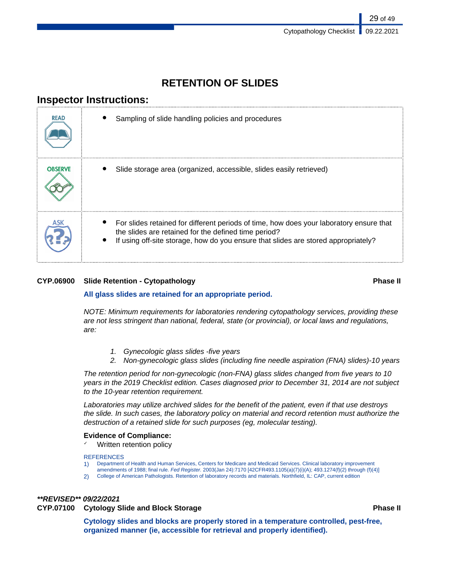## **RETENTION OF SLIDES**

## **Inspector Instructions:**

| <b>READ</b>    | Sampling of slide handling policies and procedures                                                                                                                                                                                    |
|----------------|---------------------------------------------------------------------------------------------------------------------------------------------------------------------------------------------------------------------------------------|
| <b>OBSERVE</b> | Slide storage area (organized, accessible, slides easily retrieved)                                                                                                                                                                   |
|                | For slides retained for different periods of time, how does your laboratory ensure that<br>the slides are retained for the defined time period?<br>If using off-site storage, how do you ensure that slides are stored appropriately? |

### **CYP.06900 Slide Retention - Cytopathology Phase II**

#### **All glass slides are retained for an appropriate period.**

NOTE: Minimum requirements for laboratories rendering cytopathology services, providing these are not less stringent than national, federal, state (or provincial), or local laws and regulations, are:

- 1. Gynecologic glass slides -five years
- 2. Non-gynecologic glass slides (including fine needle aspiration (FNA) slides)-10 years

The retention period for non-gynecologic (non-FNA) glass slides changed from five years to 10 years in the 2019 Checklist edition. Cases diagnosed prior to December 31, 2014 are not subject to the 10-year retention requirement.

Laboratories may utilize archived slides for the benefit of the patient, even if that use destroys the slide. In such cases, the laboratory policy on material and record retention must authorize the destruction of a retained slide for such purposes (eg, molecular testing).

#### **Evidence of Compliance:**

Written retention policy

#### **REFERENCES**

- 1) Department of Health and Human Services, Centers for Medicare and Medicaid Services. Clinical laboratory improvement
- amendments of 1988; final rule. Fed Register. 2003(Jan 24):7170 [42CFR493.1105(a)(7)(i)(A); 493.1274(f)(2) through (f)(4)]
- 2) College of American Pathologists. Retention of laboratory records and materials. Northfield, IL: CAP, current edition

#### **\*\*REVISED\*\* 09/22/2021 CYP.07100 Cytology Slide and Block Storage Phase II**

**Cytology slides and blocks are properly stored in a temperature controlled, pest-free, organized manner (ie, accessible for retrieval and properly identified).**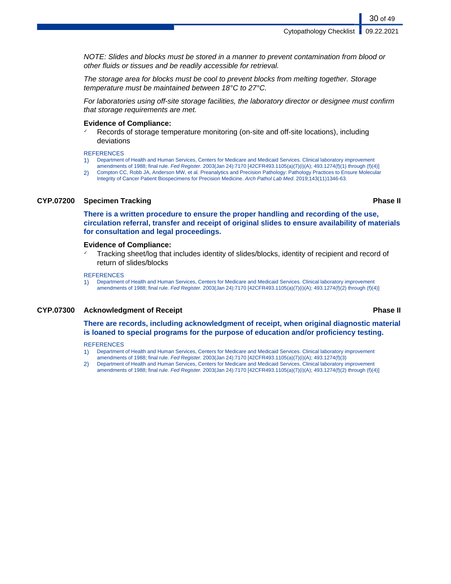NOTE: Slides and blocks must be stored in a manner to prevent contamination from blood or other fluids or tissues and be readily accessible for retrieval.

The storage area for blocks must be cool to prevent blocks from melting together. Storage temperature must be maintained between 18°C to 27°C.

For laboratories using off-site storage facilities, the laboratory director or designee must confirm that storage requirements are met.

#### **Evidence of Compliance:**

Records of storage temperature monitoring (on-site and off-site locations), including deviations

**REFERENCES** 

- 1) Department of Health and Human Services, Centers for Medicare and Medicaid Services. Clinical laboratory improvement amendments of 1988; final rule. Fed Register. 2003(Jan 24):7170 [42CFR493.1105(a)(7)(i)(A); 493.1274(f)(1) through (f)(4)]
- 2) Compton CC, Robb JA, Anderson MW, et al. Preanalytics and Precision Pathology: Pathology Practices to Ensure Molecular Integrity of Cancer Patient Biospecimens for Precision Medicine. Arch Pathol Lab Med. 2019;143(11)1346-63.

#### **CYP.07200 Specimen Tracking Phase II**

**There is a written procedure to ensure the proper handling and recording of the use, circulation referral, transfer and receipt of original slides to ensure availability of materials for consultation and legal proceedings.**

#### **Evidence of Compliance:**

Tracking sheet/log that includes identity of slides/blocks, identity of recipient and record of return of slides/blocks

#### **REFERENCES**

1) Department of Health and Human Services, Centers for Medicare and Medicaid Services. Clinical laboratory improvement amendments of 1988; final rule. Fed Register. 2003(Jan 24):7170 [42CFR493.1105(a)(7)(i)(A); 493.1274(f)(2) through (f)(4)]

#### **CYP.07300 Acknowledgment of Receipt Phase II**

#### **There are records, including acknowledgment of receipt, when original diagnostic material is loaned to special programs for the purpose of education and/or proficiency testing.**

#### **REFERENCES**

- 1) Department of Health and Human Services, Centers for Medicare and Medicaid Services. Clinical laboratory improvement amendments of 1988; final rule. Fed Register. 2003(Jan 24):7170 [42CFR493.1105(a)(7)(i)(A); 493.1274(f)(3)
- 2) Department of Health and Human Services, Centers for Medicare and Medicaid Services. Clinical laboratory improvement amendments of 1988; final rule. Fed Register. 2003(Jan 24):7170 [42CFR493.1105(a)(7)(i)(A); 493.1274(f)(2) through (f)(4)]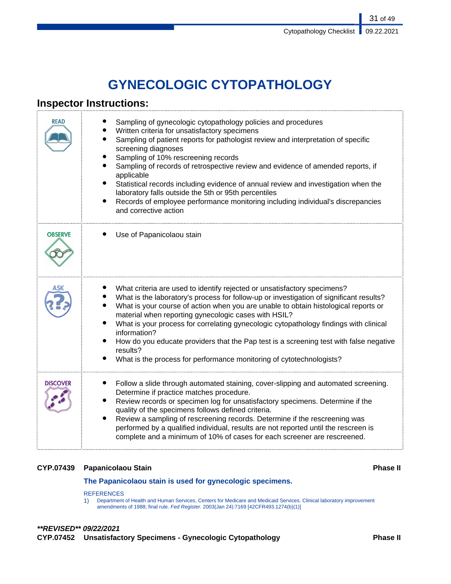# **GYNECOLOGIC CYTOPATHOLOGY**

## **Inspector Instructions:**

| <b>READ</b>     | Sampling of gynecologic cytopathology policies and procedures<br>Written criteria for unsatisfactory specimens<br>Sampling of patient reports for pathologist review and interpretation of specific<br>screening diagnoses<br>Sampling of 10% rescreening records<br>Sampling of records of retrospective review and evidence of amended reports, if<br>applicable<br>٠<br>Statistical records including evidence of annual review and investigation when the<br>laboratory falls outside the 5th or 95th percentiles<br>Records of employee performance monitoring including individual's discrepancies<br>٠<br>and corrective action |
|-----------------|----------------------------------------------------------------------------------------------------------------------------------------------------------------------------------------------------------------------------------------------------------------------------------------------------------------------------------------------------------------------------------------------------------------------------------------------------------------------------------------------------------------------------------------------------------------------------------------------------------------------------------------|
| <b>OBSERVE</b>  | Use of Papanicolaou stain                                                                                                                                                                                                                                                                                                                                                                                                                                                                                                                                                                                                              |
|                 | What criteria are used to identify rejected or unsatisfactory specimens?<br>What is the laboratory's process for follow-up or investigation of significant results?<br>What is your course of action when you are unable to obtain histological reports or<br>material when reporting gynecologic cases with HSIL?<br>What is your process for correlating gynecologic cytopathology findings with clinical<br>information?<br>How do you educate providers that the Pap test is a screening test with false negative<br>results?<br>What is the process for performance monitoring of cytotechnologists?                              |
| <b>DISCOVER</b> | Follow a slide through automated staining, cover-slipping and automated screening.<br>Determine if practice matches procedure.<br>Review records or specimen log for unsatisfactory specimens. Determine if the<br>quality of the specimens follows defined criteria.<br>Review a sampling of rescreening records. Determine if the rescreening was<br>٠<br>performed by a qualified individual, results are not reported until the rescreen is<br>complete and a minimum of 10% of cases for each screener are rescreened.                                                                                                            |

### **CYP.07439 Papanicolaou Stain Phase II**

**The Papanicolaou stain is used for gynecologic specimens.**

REFERENCES

1) Department of Health and Human Services, Centers for Medicare and Medicaid Services. Clinical laboratory improvement amendments of 1988; final rule. Fed Register. 2003(Jan 24):7169 [42CFR493.1274(b)(1)]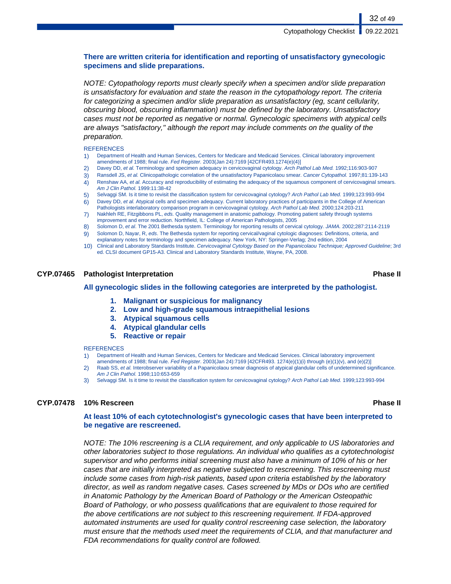### **There are written criteria for identification and reporting of unsatisfactory gynecologic specimens and slide preparations.**

NOTE: Cytopathology reports must clearly specify when a specimen and/or slide preparation is unsatisfactory for evaluation and state the reason in the cytopathology report. The criteria for categorizing a specimen and/or slide preparation as unsatisfactory (eg, scant cellularity, obscuring blood, obscuring inflammation) must be defined by the laboratory. Unsatisfactory cases must not be reported as negative or normal. Gynecologic specimens with atypical cells are always "satisfactory," although the report may include comments on the quality of the preparation.

#### **REFERENCES**

- 1) Department of Health and Human Services, Centers for Medicare and Medicaid Services. Clinical laboratory improvement amendments of 1988; final rule. Fed Register. 2003(Jan 24):7169 [42CFR493.1274(e)(4)]
- 2) Davey DD, et al. Terminology and specimen adequacy in cervicovaginal cytology. Arch Pathol Lab Med. 1992;116:903-907
- 3) Ransdell JS, et al. Clinicopathologic correlation of the unsatisfactory Papanicolaou smear. Cancer Cytopathol. 1997;81:139-143
- 4) Renshaw AA, et al. Accuracy and reproducibility of estimating the adequacy of the squamous component of cervicovaginal smears. Am J Clin Pathol. 1999:11:38-42
- 5) Selvaggi SM. Is it time to revisit the classification system for cervicovaginal cytology? Arch Pathol Lab Med. 1999;123:993-994
- 6) Davey DD, et al. Atypical cells and specimen adequacy. Current laboratory practices of participants in the College of American Pathologists interlaboratory comparison program in cervicovaginal cytology. Arch Pathol Lab Med. 2000;124:203-211
- 7) Nakhleh RE, Fitzgibbons PL, eds. Quality management in anatomic pathology. Promoting patient safety through systems improvement and error reduction. Northfield, IL: College of American Pathologists, 2005
- 8) Solomon D, et al. The 2001 Bethesda system. Terminology for reporting results of cervical cytology. JAMA. 2002;287:2114-2119 9) Solomon D, Nayar, R, eds. The Bethesda system for reporting cervical/vaginal cytologic diagnoses: Definitions, criteria, and
- explanatory notes for terminology and specimen adequacy. New York, NY: Springer-Verlag; 2nd edition, 2004 10) Clinical and Laboratory Standards Institute. Cervicovaginal Cytology Based on the Papanicolaou Technique; Approved Guideline; 3rd
- ed. CLSI document GP15-A3. Clinical and Laboratory Standards Institute, Wayne, PA, 2008.

#### **CYP.07465 Pathologist Interpretation Phase II**

#### **All gynecologic slides in the following categories are interpreted by the pathologist.**

- **1. Malignant or suspicious for malignancy**
- **2. Low and high-grade squamous intraepithelial lesions**
- **3. Atypical squamous cells**
- **4. Atypical glandular cells**
- **5. Reactive or repair**

#### **REFERENCES**

- 1) Department of Health and Human Services, Centers for Medicare and Medicaid Services. Clinical laboratory improvement amendments of 1988; final rule. Fed Register. 2003(Jan 24):7169 [42CFR493. 1274(e)(1)(i) through (e)(1)(v), and (e)(2)]
- 2) Raab SS, et al. Interobserver variability of a Papanicolaou smear diagnosis of atypical glandular cells of undetermined significance. Am J Clin Pathol. 1998;110:653-659
- 3) Selvaggi SM. Is it time to revisit the classification system for cervicovaginal cytology? Arch Pathol Lab Med. 1999;123:993-994

#### **CYP.07478 10% Rescreen Phase II**

#### **At least 10% of each cytotechnologist's gynecologic cases that have been interpreted to be negative are rescreened.**

NOTE: The 10% rescreening is a CLIA requirement, and only applicable to US laboratories and other laboratories subject to those regulations. An individual who qualifies as a cytotechnologist supervisor and who performs initial screening must also have a minimum of 10% of his or her cases that are initially interpreted as negative subjected to rescreening. This rescreening must include some cases from high-risk patients, based upon criteria established by the laboratory director, as well as random negative cases. Cases screened by MDs or DOs who are certified in Anatomic Pathology by the American Board of Pathology or the American Osteopathic Board of Pathology, or who possess qualifications that are equivalent to those required for the above certifications are not subject to this rescreening requirement. If FDA-approved automated instruments are used for quality control rescreening case selection, the laboratory must ensure that the methods used meet the requirements of CLIA, and that manufacturer and FDA recommendations for quality control are followed.

32 of 49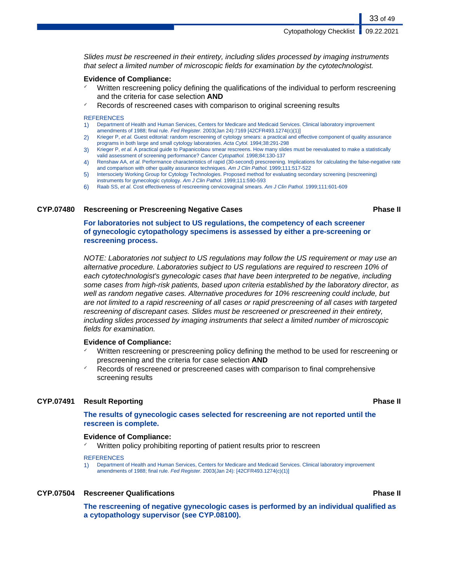Slides must be rescreened in their entirety, including slides processed by imaging instruments that select a limited number of microscopic fields for examination by the cytotechnologist.

#### **Evidence of Compliance:**

- ✓ Written rescreening policy defining the qualifications of the individual to perform rescreening and the criteria for case selection **AND**
- Records of rescreened cases with comparison to original screening results

#### **REFERENCES**

- 1) Department of Health and Human Services, Centers for Medicare and Medicaid Services. Clinical laboratory improvement amendments of 1988; final rule. Fed Register. 2003(Jan 24):7169 [42CFR493.1274(c)(1)]
- 2) Krieger P, et al. Guest editorial: random rescreening of cytology smears: a practical and effective component of quality assurance programs in both large and small cytology laboratories. Acta Cytol. 1994;38:291-298
- 3) Krieger P, et al. A practical guide to Papanicolaou smear rescreens. How many slides must be reevaluated to make a statistically valid assessment of screening performance? Cancer Cytopathol. 1998;84:130-137
- 4) Renshaw AA, et al. Performance characteristics of rapid (30-second) prescreening. Implications for calculating the false-negative rate and comparison with other quality assurance techniques. Am J Clin Pathol. 1999;111:517-522
- 5) Intersociety Working Group for Cytology Technologies. Proposed method for evaluating secondary screening (rescreening) instruments for gynecologic cytology. Am J Clin Pathol. 1999;111:590-593
- 6) Raab SS, et al. Cost effectiveness of rescreening cervicovaginal smears. Am J Clin Pathol. 1999;111:601-609

#### **CYP.07480 Rescreening or Prescreening Negative Cases Phase II**

**For laboratories not subject to US regulations, the competency of each screener of gynecologic cytopathology specimens is assessed by either a pre-screening or rescreening process.**

NOTE: Laboratories not subject to US regulations may follow the US requirement or may use an alternative procedure. Laboratories subject to US regulations are required to rescreen 10% of each cytotechnologist's gynecologic cases that have been interpreted to be negative, including some cases from high-risk patients, based upon criteria established by the laboratory director, as well as random negative cases. Alternative procedures for 10% rescreening could include, but are not limited to a rapid rescreening of all cases or rapid prescreening of all cases with targeted rescreening of discrepant cases. Slides must be rescreened or prescreened in their entirety, including slides processed by imaging instruments that select a limited number of microscopic fields for examination.

#### **Evidence of Compliance:**

- Written rescreening or prescreening policy defining the method to be used for rescreening or prescreening and the criteria for case selection **AND**
- Records of rescreened or prescreened cases with comparison to final comprehensive screening results

#### **CYP.07491 Result Reporting Phase II**

#### **The results of gynecologic cases selected for rescreening are not reported until the rescreen is complete.**

#### **Evidence of Compliance:**

Written policy prohibiting reporting of patient results prior to rescreen

#### **REFERENCES**

1) Department of Health and Human Services, Centers for Medicare and Medicaid Services. Clinical laboratory improvement amendments of 1988; final rule. Fed Register. 2003(Jan 24): [42CFR493.1274(c)(1)]

#### **CYP.07504 Rescreener Qualifications Phase II**

**The rescreening of negative gynecologic cases is performed by an individual qualified as a cytopathology supervisor (see CYP.08100).**

#### 33 of 49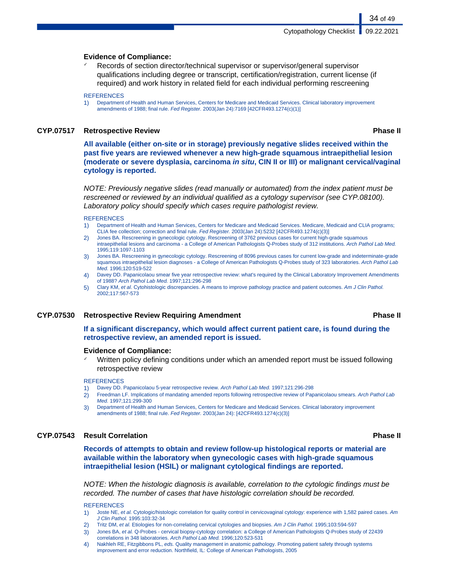#### **Evidence of Compliance:**

Records of section director/technical supervisor or supervisor/general supervisor qualifications including degree or transcript, certification/registration, current license (if required) and work history in related field for each individual performing rescreening

#### **REFERENCES**

1) Department of Health and Human Services, Centers for Medicare and Medicaid Services. Clinical laboratory improvement amendments of 1988; final rule. Fed Register. 2003(Jan 24):7169 [42CFR493.1274(c)(1)]

#### **CYP.07517 Retrospective Review Phase II**

34 of 49

**All available (either on-site or in storage) previously negative slides received within the past five years are reviewed whenever a new high-grade squamous intraepithelial lesion (moderate or severe dysplasia, carcinoma in situ, CIN II or III) or malignant cervical/vaginal cytology is reported.**

NOTE: Previously negative slides (read manually or automated) from the index patient must be rescreened or reviewed by an individual qualified as a cytology supervisor (see CYP.08100). Laboratory policy should specify which cases require pathologist review.

#### **REFERENCES**

- 1) Department of Health and Human Services, Centers for Medicare and Medicaid Services. Medicare, Medicaid and CLIA programs; CLIA fee collection; correction and final rule. Fed Register. 2003(Jan 24):5232 [42CFR493.1274(c)(3)]
- 2) Jones BA. Rescreening in gynecologic cytology. Rescreening of 3762 previous cases for current high-grade squamous intraepithelial lesions and carcinoma - a College of American Pathologists Q-Probes study of 312 institutions. Arch Pathol Lab Med. 1995;119:1097-1103
- 3) Jones BA. Rescreening in gynecologic cytology. Rescreening of 8096 previous cases for current low-grade and indeterminate-grade squamous intraepithelial lesion diagnoses - a College of American Pathologists Q-Probes study of 323 laboratories. Arch Pathol Lab Med. 1996;120:519-522
- 4) Davey DD. Papanicolaou smear five year retrospective review: what's required by the Clinical Laboratory Improvement Amendments of 1988? Arch Pathol Lab Med. 1997;121:296-298
- 5) Clary KM, et al. Cytohistologic discrepancies. A means to improve pathology practice and patient outcomes. Am J Clin Pathol. 2002;117:567-573

#### **CYP.07530 Retrospective Review Requiring Amendment Phase II**

**If a significant discrepancy, which would affect current patient care, is found during the retrospective review, an amended report is issued.**

#### **Evidence of Compliance:**

Written policy defining conditions under which an amended report must be issued following retrospective review

#### **REFERENCES**

- 1) Davey DD. Papanicolaou 5-year retrospective review. Arch Pathol Lab Med. 1997;121:296-298
- 2) Freedman LF. Implications of mandating amended reports following retrospective review of Papanicolaou smears. Arch Pathol Lab Med. 1997;121:299-300
- 3) Department of Health and Human Services, Centers for Medicare and Medicaid Services. Clinical laboratory improvement amendments of 1988; final rule. Fed Register. 2003(Jan 24): [42CFR493.1274(c)(3)]

#### **CYP.07543 Result Correlation Phase II**

**Records of attempts to obtain and review follow-up histological reports or material are available within the laboratory when gynecologic cases with high-grade squamous intraepithelial lesion (HSIL) or malignant cytological findings are reported.**

NOTE: When the histologic diagnosis is available, correlation to the cytologic findings must be recorded. The number of cases that have histologic correlation should be recorded.

**REFERENCES** 

- 1) Joste NE, et al. Cytologic/histologic correlation for quality control in cervicovaginal cytology: experience with 1,582 paired cases. Am J Clin Pathol. 1995:103:32-34
- 2) Tritz DM, et al. Etiologies for non-correlating cervical cytologies and biopsies. Am J Clin Pathol. 1995;103:594-597
- 3) Jones BA, et al. Q-Probes cervical biopsy-cytology correlation: a College of American Pathologists Q-Probes study of 22439 correlations in 348 laboratories. Arch Pathol Lab Med. 1996;120:523-531
- 4) Nakhleh RE, Fitzgibbons PL, eds. Quality management in anatomic pathology. Promoting patient safety through systems improvement and error reduction. Northfield, IL: College of American Pathologists, 2005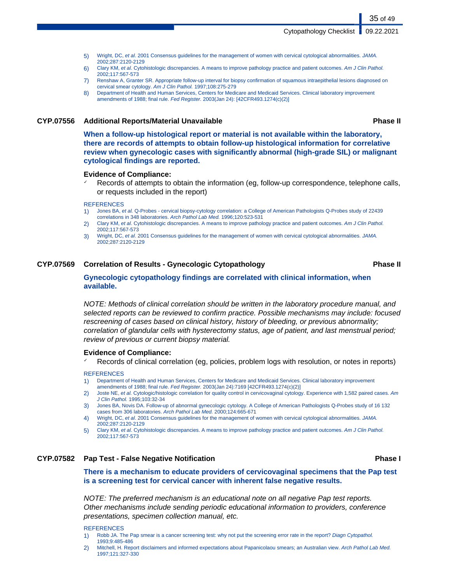- 5) Wright, DC, et al. 2001 Consensus guidelines for the management of women with cervical cytological abnormalities. JAMA. 2002;287:2120-2129
- 6) Clary KM, et al. Cytohistologic discrepancies. A means to improve pathology practice and patient outcomes. Am J Clin Pathol. 2002;117:567-573
- 7) Renshaw A, Granter SR. Appropriate follow-up interval for biopsy confirmation of squamous intraepithelial lesions diagnosed on cervical smear cytology. Am J Clin Pathol. 1997;108:275-279
- 8) Department of Health and Human Services, Centers for Medicare and Medicaid Services. Clinical laboratory improvement amendments of 1988; final rule. Fed Register. 2003(Jan 24): [42CFR493.1274(c)(2)]

#### **CYP.07556 Additional Reports/Material Unavailable Phase II**

**When a follow-up histological report or material is not available within the laboratory, there are records of attempts to obtain follow-up histological information for correlative review when gynecologic cases with significantly abnormal (high-grade SIL) or malignant cytological findings are reported.**

#### **Evidence of Compliance:**

Records of attempts to obtain the information (eg, follow-up correspondence, telephone calls, or requests included in the report)

#### **REFERENCES**

- 1) Jones BA, et al. Q-Probes cervical biopsy-cytology correlation: a College of American Pathologists Q-Probes study of 22439 correlations in 348 laboratories. Arch Pathol Lab Med. 1996;120:523-531
- 2) Clary KM, et al. Cytohistologic discrepancies. A means to improve pathology practice and patient outcomes. Am J Clin Pathol. 2002;117:567-573
- 3) Wright, DC, et al. 2001 Consensus guidelines for the management of women with cervical cytological abnormalities. JAMA. 2002;287:2120-2129

#### **CYP.07569 Correlation of Results - Gynecologic Cytopathology Phase II**

#### **Gynecologic cytopathology findings are correlated with clinical information, when available.**

NOTE: Methods of clinical correlation should be written in the laboratory procedure manual, and selected reports can be reviewed to confirm practice. Possible mechanisms may include: focused rescreening of cases based on clinical history, history of bleeding, or previous abnormality; correlation of glandular cells with hysterectomy status, age of patient, and last menstrual period; review of previous or current biopsy material.

#### **Evidence of Compliance:**

Records of clinical correlation (eg, policies, problem logs with resolution, or notes in reports)

#### **REFERENCES**

- 1) Department of Health and Human Services, Centers for Medicare and Medicaid Services. Clinical laboratory improvement amendments of 1988; final rule. Fed Register. 2003(Jan 24):7169 [42CFR493.1274(c)(2)]
- 2) Joste NE, et al. Cytologic/histologic correlation for quality control in cervicovaginal cytology. Experience with 1,582 paired cases. Am J Clin Pathol. 1995;103:32-34
- 3) Jones BA, Novis DA. Follow-up of abnormal gynecologic cytology. A College of American Pathologists Q-Probes study of 16 132 cases from 306 laboratories. Arch Pathol Lab Med. 2000;124:665-671
- 4) Wright, DC, et al. 2001 Consensus guidelines for the management of women with cervical cytological abnormalities. JAMA. 2002;287:2120-2129
- 5) Clary KM, et al. Cytohistologic discrepancies. A means to improve pathology practice and patient outcomes. Am J Clin Pathol. 2002;117:567-573

### **CYP.07582 Pap Test - False Negative Notification Phase I**

**There is a mechanism to educate providers of cervicovaginal specimens that the Pap test is a screening test for cervical cancer with inherent false negative results.**

NOTE: The preferred mechanism is an educational note on all negative Pap test reports. Other mechanisms include sending periodic educational information to providers, conference presentations, specimen collection manual, etc.

#### **REFERENCES**

- 1) Robb JA. The Pap smear is a cancer screening test: why not put the screening error rate in the report? Diagn Cytopathol. 1993;9:485-486
- 2) Mitchell, H. Report disclaimers and informed expectations about Papanicolaou smears; an Australian view. Arch Pathol Lab Med. 1997;121:327-330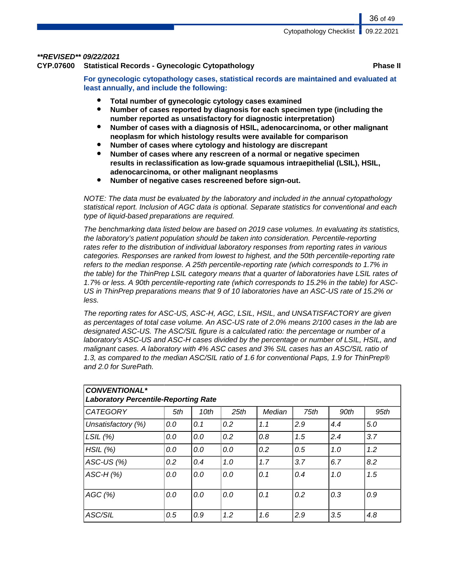#### **\*\*REVISED\*\* 09/22/2021**

**CYP.07600 Statistical Records - Gynecologic Cytopathology Phase II**

**For gynecologic cytopathology cases, statistical records are maintained and evaluated at least annually, and include the following:**

- **Total number of gynecologic cytology cases examined**
- Number of cases reported by diagnosis for each specimen type (including the **number reported as unsatisfactory for diagnostic interpretation)**
- **Number of cases with a diagnosis of HSIL, adenocarcinoma, or other malignant neoplasm for which histology results were available for comparison**
- **Number of cases where cytology and histology are discrepant**
- **Number of cases where any rescreen of a normal or negative specimen results in reclassification as low-grade squamous intraepithelial (LSIL), HSIL, adenocarcinoma, or other malignant neoplasms**
- **Number of negative cases rescreened before sign-out.**

NOTE: The data must be evaluated by the laboratory and included in the annual cytopathology statistical report. Inclusion of AGC data is optional. Separate statistics for conventional and each type of liquid-based preparations are required.

The benchmarking data listed below are based on 2019 case volumes. In evaluating its statistics, the laboratory's patient population should be taken into consideration. Percentile-reporting rates refer to the distribution of individual laboratory responses from reporting rates in various categories. Responses are ranked from lowest to highest, and the 50th percentile-reporting rate refers to the median response. A 25th percentile-reporting rate (which corresponds to 1.7% in the table) for the ThinPrep LSIL category means that a quarter of laboratories have LSIL rates of 1.7% or less. A 90th percentile-reporting rate (which corresponds to 15.2% in the table) for ASC-US in ThinPrep preparations means that 9 of 10 laboratories have an ASC-US rate of 15.2% or less.

The reporting rates for ASC-US, ASC-H, AGC, LSIL, HSIL, and UNSATISFACTORY are given as percentages of total case volume. An ASC-US rate of 2.0% means 2/100 cases in the lab are designated ASC-US. The ASC/SIL figure is a calculated ratio: the percentage or number of a laboratory's ASC-US and ASC-H cases divided by the percentage or number of LSIL, HSIL, and malignant cases. A laboratory with 4% ASC cases and 3% SIL cases has an ASC/SIL ratio of 1.3, as compared to the median ASC/SIL ratio of 1.6 for conventional Paps, 1.9 for ThinPrep® and 2.0 for SurePath.

| <b>CONVENTIONAL*</b><br><b>Laboratory Percentile-Reporting Rate</b> |     |      |      |        |      |      |      |
|---------------------------------------------------------------------|-----|------|------|--------|------|------|------|
| <b>CATEGORY</b>                                                     | 5th | 10th | 25th | Median | 75th | 90th | 95th |
| Unsatisfactory (%)                                                  | 0.0 | 0.1  | 0.2  | 1.1    | 2.9  | 4.4  | 5.0  |
| LSIL $(%)$                                                          | 0.0 | 0.0  | 0.2  | 0.8    | 1.5  | 2.4  | 3.7  |
| HSIL(%)                                                             | 0.0 | 0.0  | 0.0  | 0.2    | 0.5  | 1.0  | 1.2  |
| ASC-US $(\%)$                                                       | 0.2 | 0.4  | 1.0  | 1.7    | 3.7  | 6.7  | 8.2  |
| $ASC-H (%)$                                                         | 0.0 | 0.0  | 0.0  | 0.1    | 0.4  | 1.0  | 1.5  |
| AGC(%)                                                              | 0.0 | 0.0  | 0.0  | 0.1    | 0.2  | 0.3  | 0.9  |
| ASC/SIL                                                             | 0.5 | 0.9  | 1.2  | 1.6    | 2.9  | 3.5  | 4.8  |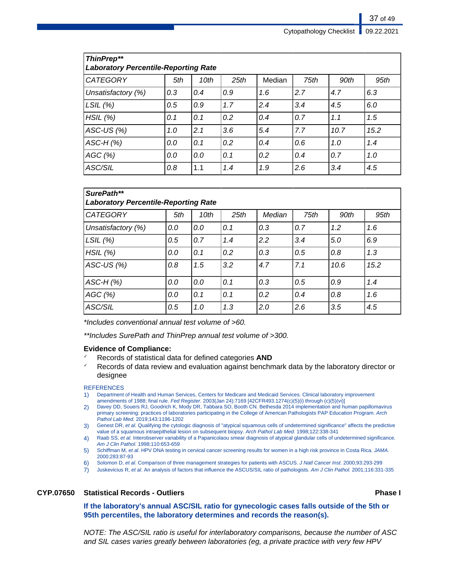| <b>ThinPrep**</b><br><b>Laboratory Percentile-Reporting Rate</b> |     |      |      |        |      |      |      |
|------------------------------------------------------------------|-----|------|------|--------|------|------|------|
| <b>CATEGORY</b>                                                  | 5th | 10th | 25th | Median | 75th | 90th | 95th |
| Unsatisfactory (%)                                               | 0.3 | 0.4  | 0.9  | 1.6    | 2.7  | 4.7  | 6.3  |
| LSIL(%)                                                          | 0.5 | 0.9  | 1.7  | 2.4    | 3.4  | 4.5  | 6.0  |
| HSIL(%)                                                          | 0.1 | 0.1  | 0.2  | 0.4    | 0.7  | 1.1  | 1.5  |
| ASC-US $(\%)$                                                    | 1.0 | 2.1  | 3.6  | 5.4    | 7.7  | 10.7 | 15.2 |
| $ASC-H (%)$                                                      | 0.0 | 0.1  | 0.2  | 0.4    | 0.6  | 1.0  | 1.4  |
| AGC(%)                                                           | 0.0 | 0.0  | 0.1  | 0.2    | 0.4  | 0.7  | 1.0  |
| ASC/SIL                                                          | 0.8 | 1.1  | 1.4  | 1.9    | 2.6  | 3.4  | 4.5  |

| SurePath**<br><b>Laboratory Percentile-Reporting Rate</b> |     |      |      |        |      |      |      |
|-----------------------------------------------------------|-----|------|------|--------|------|------|------|
| <b>CATEGORY</b>                                           | 5th | 10th | 25th | Median | 75th | 90th | 95th |
| Unsatisfactory (%)                                        | 0.0 | 0.0  | 0.1  | 0.3    | 0.7  | 1.2  | 1.6  |
| LSIL(%)                                                   | 0.5 | 0.7  | 1.4  | 2.2    | 3.4  | 5.0  | 6.9  |
| HSIL(%)                                                   | 0.0 | 0.1  | 0.2  | 0.3    | 0.5  | 0.8  | 1,3  |
| ASC-US $(%)$                                              | 0.8 | 1.5  | 3.2  | 4.7    | 7.1  | 10.6 | 15.2 |
| $ASC-H (%)$                                               | 0.0 | 0.0  | 0.1  | 0.3    | 0.5  | 0.9  | 1.4  |
| AGC(%)                                                    | 0.0 | 0.1  | 0.1  | 0.2    | 0.4  | 0.8  | 1.6  |
| ASC/SIL                                                   | 0.5 | 1.0  | 1,3  | 2.0    | 2.6  | 3.5  | 4.5  |

\*Includes conventional annual test volume of >60.

\*\*Includes SurePath and ThinPrep annual test volume of >300.

#### **Evidence of Compliance:**

- ✓ Records of statistical data for defined categories **AND**
- Records of data review and evaluation against benchmark data by the laboratory director or designee

#### **REFERENCES**

- 1) Department of Health and Human Services, Centers for Medicare and Medicaid Services. Clinical laboratory improvement amendments of 1988; final rule. Fed Register. 2003(Jan 24):7169 [42CFR493.1274(c)(5)(i) through (c)(5)(vi)]
- 2) Davey DD, Souers RJ, Goodrich K, Mody DR, Tabbara SO, Booth CN. Bethesda 2014 implementation and human papillomavirus primary screening: practices of laboratories participating in the College of American Pathologists PAP Education Program. Arch Pathol Lab Med. 2019;143:1196-1202
- 3) Genest DR, et al. Qualifying the cytologic diagnosis of "atypical squamous cells of undetermined significance" affects the predictive value of a squamous intraepithelial lesion on subsequent biopsy. Arch Pathol Lab Med. 1998;122:338-341
- 4) Raab SS, et al. Interobserver variability of a Papanicolaou smear diagnosis of atypical glandular cells of undetermined significance. Am J Clin Pathol. 1998;110:653-659
- 5) Schiffman M, et al. HPV DNA testing in cervical cancer screening results for women in a high risk province in Costa Rica. JAMA. 2000;283:87-93
- 6) Solomon D, et al. Comparison of three management strategies for patients with ASCUS. J Natl Cancer Inst. 2000;93:293-299
- 7) Juskevicius R, et al. An analysis of factors that influence the ASCUS/SIL ratio of pathologists. Am J Clin Pathol. 2001;116:331-335

#### **CYP.07650 Statistical Records - Outliers Phase I**

**If the laboratory's annual ASC/SIL ratio for gynecologic cases falls outside of the 5th or 95th percentiles, the laboratory determines and records the reason(s).**

NOTE: The ASC/SIL ratio is useful for interlaboratory comparisons, because the number of ASC and SIL cases varies greatly between laboratories (eg, a private practice with very few HPV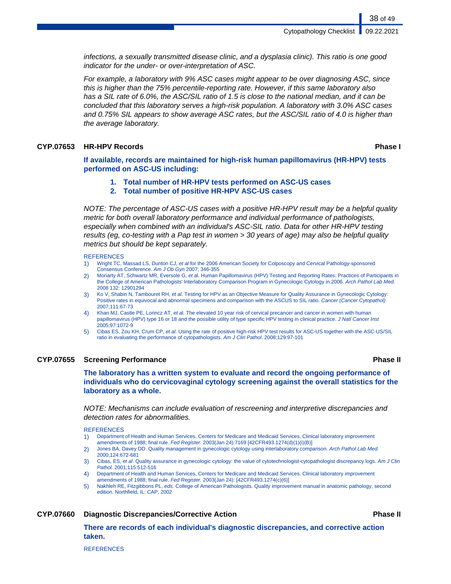infections, a sexually transmitted disease clinic, and a dysplasia clinic). This ratio is one good indicator for the under- or over-interpretation of ASC.

For example, a laboratory with 9% ASC cases might appear to be over diagnosing ASC, since this is higher than the 75% percentile-reporting rate. However, if this same laboratory also has a SIL rate of 6.0%, the ASC/SIL ratio of 1.5 is close to the national median, and it can be concluded that this laboratory serves a high-risk population. A laboratory with 3.0% ASC cases and 0.75% SIL appears to show average ASC rates, but the ASC/SIL ratio of 4.0 is higher than the average laboratory.

#### **CYP.07653 HR-HPV Records Phase I**

38 of 49

**If available, records are maintained for high-risk human papillomavirus (HR-HPV) tests performed on ASC-US including:**

- **1. Total number of HR-HPV tests performed on ASC-US cases**
- **2. Total number of positive HR-HPV ASC-US cases**

NOTE: The percentage of ASC-US cases with a positive HR-HPV result may be a helpful quality metric for both overall laboratory performance and individual performance of pathologists, especially when combined with an individual's ASC-SIL ratio. Data for other HR-HPV testing results (eg, co-testing with a Pap test in women > 30 years of age) may also be helpful quality metrics but should be kept separately.

#### **REFERENCES**

- 1) Wright TC, Massad LS, Dunton CJ, et al for the 2006 American Society for Colposcopy and Cervical Pathology-sponsored Consensus Conference. Am J Ob Gyn 2007; 346-355
- 2) Moriarty AT, Schwartz MR, Eversole G, et al. Human Papillomavirus (HPV) Testing and Reporting Rates: Practices of Participants in the College of American Pathologists' Interlaboratory Comparison Program in Gynecologic Cytology in 2006. Arch Pathol Lab Med. 2008 132: 12901294
- 3) Ko V, Shabin N, Tambouret RH, et al. Testing for HPV as an Objective Measure for Quality Assurance in Gynecologic Cytology: Positive rates in equivocal and abnormal specimens and comparison with the ASCUS to SIL ratio. Cancer (Cancer Cytopathol) 2007;111:67-73
- Khan MJ, Castle PE, Lorincz AT, et al. The elevated 10 year risk of cervical precancer and cancer in women with human papillomavirus (HPV) type 16 or 18 and the possible utility of type specific HPV testing in clinical practice. J Natl Cancer Inst 2005;97:1072-9
- 5) Cibas ES, Zou KH, Crum CP, et al. Using the rate of positive high-risk HPV test results for ASC-US together with the ASC-US/SIL ratio in evaluating the performance of cytopathologists. Am J Clin Pathol. 2008;129:97-101

#### **CYP.07655 Screening Performance Phase II**

**The laboratory has a written system to evaluate and record the ongoing performance of individuals who do cervicovaginal cytology screening against the overall statistics for the laboratory as a whole.**

NOTE: Mechanisms can include evaluation of rescreening and interpretive discrepancies and detection rates for abnormalities.

#### **REFERENCES**

- 1) Department of Health and Human Services, Centers for Medicare and Medicaid Services. Clinical laboratory improvement amendments of 1988; final rule. Fed Register. 2003(Jan 24):7169 [42CFR493.1274(d)(1)(i)(B)]
- 2) Jones BA, Davey DD. Quality management in gynecologic cytology using interlaboratory comparison. Arch Pathol Lab Med. 2000;124:672-681
- 3) Cibas, ES, et al. Quality assurance in gynecologic cytology: the value of cytotechnologist-cytopathologist discrepancy logs. Am J Clin Pathol. 2001;115:512-516
- 4) Department of Health and Human Services, Centers for Medicare and Medicaid Services. Clinical laboratory improvement amendments of 1988; final rule. Fed Register. 2003(Jan 24): [42CFR493.1274(c)(6)]
- 5) Nakhleh RE, Fitzgibbons PL, eds. College of American Pathologists. Quality improvement manual in anatomic pathology, second edition. Northfield, IL: CAP, 2002

#### **CYP.07660 Diagnostic Discrepancies/Corrective Action Phase II**

**There are records of each individual's diagnostic discrepancies, and corrective action taken.**

**REFERENCES**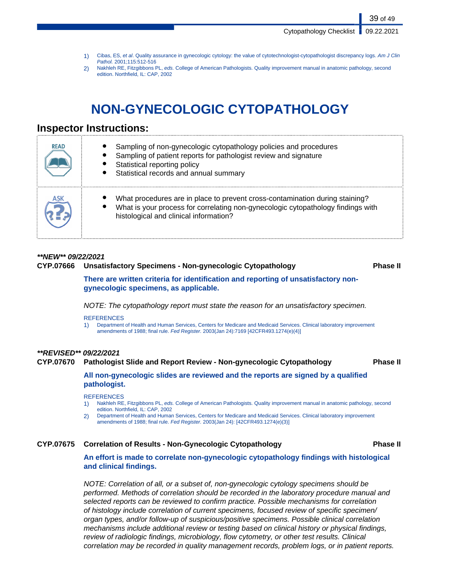39 of 49

- 1) Cibas, ES, et al. Quality assurance in gynecologic cytology: the value of cytotechnologist-cytopathologist discrepancy logs. Am J Clin Pathol. 2001;115:512-516
- 2) Nakhleh RE, Fitzgibbons PL, eds. College of American Pathologists. Quality improvement manual in anatomic pathology, second edition. Northfield, IL: CAP, 2002

# **NON-GYNECOLOGIC CYTOPATHOLOGY**

## **Inspector Instructions:**

| <b>READ</b> | Sampling of non-gynecologic cytopathology policies and procedures<br>Sampling of patient reports for pathologist review and signature<br>Statistical reporting policy<br>Statistical records and annual summary |
|-------------|-----------------------------------------------------------------------------------------------------------------------------------------------------------------------------------------------------------------|
| ASK         | What procedures are in place to prevent cross-contamination during staining?<br>What is your process for correlating non-gynecologic cytopathology findings with<br>histological and clinical information?      |

### **\*\*NEW\*\* 09/22/2021**

#### **CYP.07666 Unsatisfactory Specimens - Non-gynecologic Cytopathology Phase II**

**There are written criteria for identification and reporting of unsatisfactory nongynecologic specimens, as applicable.**

NOTE: The cytopathology report must state the reason for an unsatisfactory specimen.

#### **REFERENCES**

1) Department of Health and Human Services, Centers for Medicare and Medicaid Services. Clinical laboratory improvement amendments of 1988; final rule. Fed Register. 2003(Jan 24):7169 [42CFR493.1274(e)(4)]

#### **\*\*REVISED\*\* 09/22/2021**

#### **CYP.07670 Pathologist Slide and Report Review - Non-gynecologic Cytopathology Phase II**

#### **All non-gynecologic slides are reviewed and the reports are signed by a qualified pathologist.**

**REFERENCES** 

- 1) Nakhleh RE, Fitzgibbons PL, eds. College of American Pathologists. Quality improvement manual in anatomic pathology, second edition. Northfield, IL: CAP, 2002
- 2) Department of Health and Human Services, Centers for Medicare and Medicaid Services. Clinical laboratory improvement amendments of 1988; final rule. Fed Register. 2003(Jan 24): [42CFR493.1274(e)(3)]

#### **CYP.07675 Correlation of Results - Non-Gynecologic Cytopathology Phase II**

**An effort is made to correlate non-gynecologic cytopathology findings with histological and clinical findings.**

NOTE: Correlation of all, or a subset of, non-gynecologic cytology specimens should be performed. Methods of correlation should be recorded in the laboratory procedure manual and selected reports can be reviewed to confirm practice. Possible mechanisms for correlation of histology include correlation of current specimens, focused review of specific specimen/ organ types, and/or follow-up of suspicious/positive specimens. Possible clinical correlation mechanisms include additional review or testing based on clinical history or physical findings, review of radiologic findings, microbiology, flow cytometry, or other test results. Clinical correlation may be recorded in quality management records, problem logs, or in patient reports.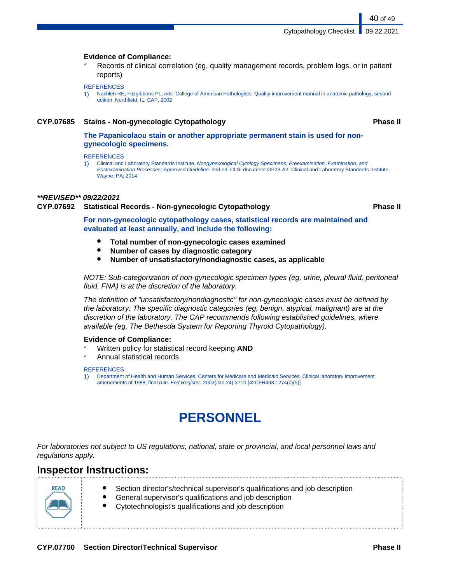40 of 49

#### **Evidence of Compliance:**

Records of clinical correlation (eg, quality management records, problem logs, or in patient reports)

#### **REFERENCES**

1) Nakhleh RE, Fitzgibbons PL, eds. College of American Pathologists. Quality improvement manual in anatomic pathology, second edition. Northfield, IL: CAP, 2002

#### **CYP.07685 Stains - Non-gynecologic Cytopathology Phase II**

**The Papanicolaou stain or another appropriate permanent stain is used for nongynecologic specimens.**

**REFERENCES** 

1) Clinical and Laboratory Standards Institute. Nongynecological Cytology Specimens; Preexamination, Examination, and Postexamination Processes; Approved Guideline. 2nd ed. CLSI document GP23-A2. Clinical and Laboratory Standards Institute, Wayne, PA; 2014.

#### **\*\*REVISED\*\* 09/22/2021**

### **CYP.07692 Statistical Records - Non-gynecologic Cytopathology Phase II**

**For non-gynecologic cytopathology cases, statistical records are maintained and evaluated at least annually, and include the following:**

- **Total number of non-gynecologic cases examined**
- **Number of cases by diagnostic category**
- **Number of unsatisfactory/nondiagnostic cases, as applicable**

NOTE: Sub-categorization of non-gynecologic specimen types (eg, urine, pleural fluid, peritoneal fluid, FNA) is at the discretion of the laboratory.

The definition of "unsatisfactory/nondiagnostic" for non-gynecologic cases must be defined by the laboratory. The specific diagnostic categories (eg, benign, atypical, malignant) are at the discretion of the laboratory. The CAP recommends following established guidelines, where available (eg, The Bethesda System for Reporting Thyroid Cytopathology).

#### **Evidence of Compliance:**

- Written policy for statistical record keeping **AND**
- ✓ Annual statistical records

#### **REFERENCES**

1) Department of Health and Human Services, Centers for Medicare and Medicaid Services. Clinical laboratory improvement amendments of 1988; final rule. Fed Register. 2003(Jan 24):3710 [42CFR493.1274(c)(5)]

# **PERSONNEL**

For laboratories not subject to US regulations, national, state or provincial, and local personnel laws and regulations apply.

## **Inspector Instructions:**



- Section director's/technical supervisor's qualifications and job description
- General supervisor's qualifications and job description
- Cytotechnologist's qualifications and job description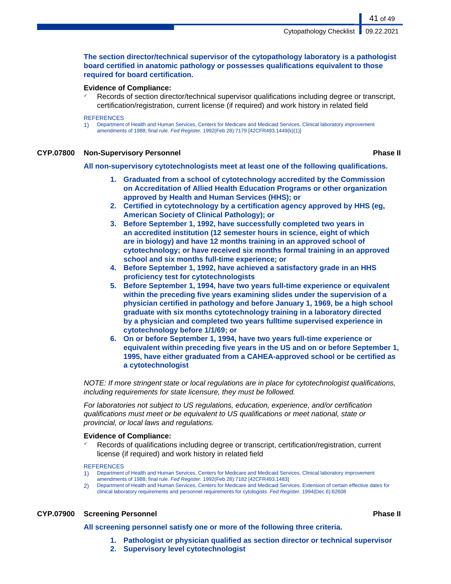#### **The section director/technical supervisor of the cytopathology laboratory is a pathologist board certified in anatomic pathology or possesses qualifications equivalent to those required for board certification.**

#### **Evidence of Compliance:**

Records of section director/technical supervisor qualifications including degree or transcript, certification/registration, current license (if required) and work history in related field

#### **REFERENCES**

1) Department of Health and Human Services, Centers for Medicare and Medicaid Services. Clinical laboratory improvement amendments of 1988; final rule. Fed Register. 1992(Feb 28):7179 [42CFR493.1449(k)(1)]

#### **CYP.07800 Non-Supervisory Personnel Phase II**

41 of 49

**All non-supervisory cytotechnologists meet at least one of the following qualifications.**

- **1. Graduated from a school of cytotechnology accredited by the Commission on Accreditation of Allied Health Education Programs or other organization approved by Health and Human Services (HHS); or**
- **2. Certified in cytotechnology by a certification agency approved by HHS (eg, American Society of Clinical Pathology); or**
- **3. Before September 1, 1992, have successfully completed two years in an accredited institution (12 semester hours in science, eight of which are in biology) and have 12 months training in an approved school of cytotechnology; or have received six months formal training in an approved school and six months full-time experience; or**
- **4. Before September 1, 1992, have achieved a satisfactory grade in an HHS proficiency test for cytotechnologists**
- **5. Before September 1, 1994, have two years full-time experience or equivalent within the preceding five years examining slides under the supervision of a physician certified in pathology and before January 1, 1969, be a high school graduate with six months cytotechnology training in a laboratory directed by a physician and completed two years fulltime supervised experience in cytotechnology before 1/1/69; or**
- **6. On or before September 1, 1994, have two years full-time experience or equivalent within preceding five years in the US and on or before September 1, 1995, have either graduated from a CAHEA-approved school or be certified as a cytotechnologist**

NOTE: If more stringent state or local regulations are in place for cytotechnologist qualifications, including requirements for state licensure, they must be followed.

For laboratories not subject to US regulations, education, experience, and/or certification qualifications must meet or be equivalent to US qualifications or meet national, state or provincial, or local laws and regulations.

#### **Evidence of Compliance:**

Records of qualifications including degree or transcript, certification/registration, current license (if required) and work history in related field

#### **REFERENCES**

- 1) Department of Health and Human Services, Centers for Medicare and Medicaid Services. Clinical laboratory improvement amendments of 1988; final rule. Fed Register. 1992(Feb 28):7182 [42CFR493.1483]
- 2) Department of Health and Human Services, Centers for Medicare and Medicaid Services. Extension of certain effective dates for clinical laboratory requirements and personnel requirements for cytologists. Fed Register. 1994(Dec 6):62608

#### **CYP.07900 Screening Personnel Phase II**

- **All screening personnel satisfy one or more of the following three criteria.**
	- **1. Pathologist or physician qualified as section director or technical supervisor**
	- **2. Supervisory level cytotechnologist**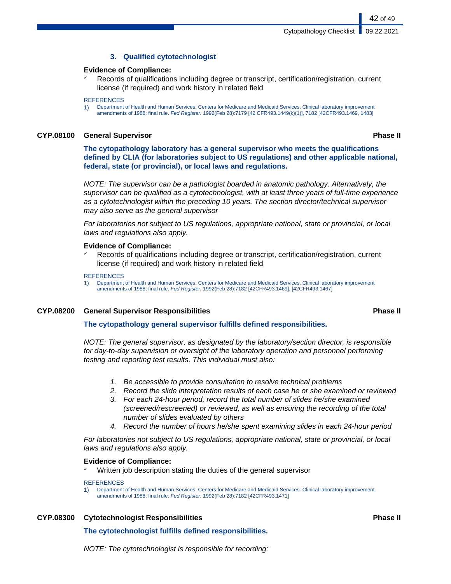#### **3. Qualified cytotechnologist**

#### **Evidence of Compliance:**

Records of qualifications including degree or transcript, certification/registration, current license (if required) and work history in related field

#### **REFERENCES**

1) Department of Health and Human Services, Centers for Medicare and Medicaid Services. Clinical laboratory improvement amendments of 1988; final rule. Fed Register. 1992(Feb 28):7179 [42 CFR493.1449(k)(1)], 7182 [42CFR493.1469, 1483]

#### **CYP.08100 General Supervisor Phase II**

42 of 49

**The cytopathology laboratory has a general supervisor who meets the qualifications defined by CLIA (for laboratories subject to US regulations) and other applicable national, federal, state (or provincial), or local laws and regulations.**

NOTE: The supervisor can be a pathologist boarded in anatomic pathology. Alternatively, the supervisor can be qualified as a cytotechnologist, with at least three years of full-time experience as a cytotechnologist within the preceding 10 years. The section director/technical supervisor may also serve as the general supervisor

For laboratories not subject to US regulations, appropriate national, state or provincial, or local laws and regulations also apply.

#### **Evidence of Compliance:**

Records of qualifications including degree or transcript, certification/registration, current license (if required) and work history in related field

#### REFERENCES

1) Department of Health and Human Services, Centers for Medicare and Medicaid Services. Clinical laboratory improvement amendments of 1988; final rule. Fed Register. 1992(Feb 28):7182 [42CFR493.1469], [42CFR493.1467]

#### **CYP.08200 General Supervisor Responsibilities Phase II**

#### **The cytopathology general supervisor fulfills defined responsibilities.**

NOTE: The general supervisor, as designated by the laboratory/section director, is responsible for day-to-day supervision or oversight of the laboratory operation and personnel performing testing and reporting test results. This individual must also:

- 1. Be accessible to provide consultation to resolve technical problems
- 2. Record the slide interpretation results of each case he or she examined or reviewed
- 3. For each 24-hour period, record the total number of slides he/she examined (screened/rescreened) or reviewed, as well as ensuring the recording of the total number of slides evaluated by others
- 4. Record the number of hours he/she spent examining slides in each 24-hour period

For laboratories not subject to US regulations, appropriate national, state or provincial, or local laws and regulations also apply.

#### **Evidence of Compliance:**

Written job description stating the duties of the general supervisor

#### **REFERENCES**

1) Department of Health and Human Services, Centers for Medicare and Medicaid Services. Clinical laboratory improvement amendments of 1988; final rule. Fed Register. 1992(Feb 28):7182 [42CFR493.1471]

**CYP.08300 Cytotechnologist Responsibilities Phase II**

#### **The cytotechnologist fulfills defined responsibilities.**

NOTE: The cytotechnologist is responsible for recording: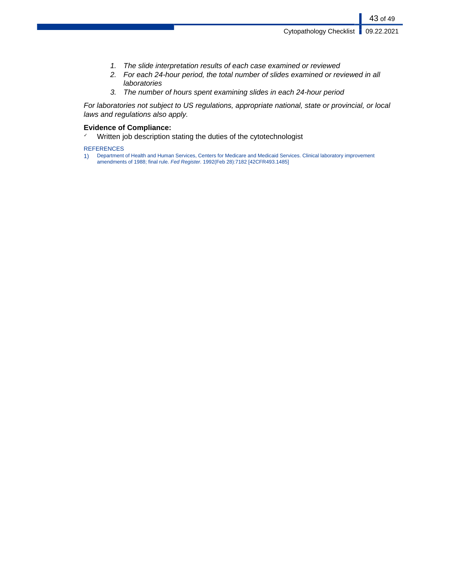- 1. The slide interpretation results of each case examined or reviewed
- 2. For each 24-hour period, the total number of slides examined or reviewed in all laboratories
- 3. The number of hours spent examining slides in each 24-hour period

For laboratories not subject to US regulations, appropriate national, state or provincial, or local laws and regulations also apply.

#### **Evidence of Compliance:**

✓ Written job description stating the duties of the cytotechnologist

REFERENCES

1) Department of Health and Human Services, Centers for Medicare and Medicaid Services. Clinical laboratory improvement amendments of 1988; final rule. Fed Register. 1992(Feb 28):7182 [42CFR493.1485]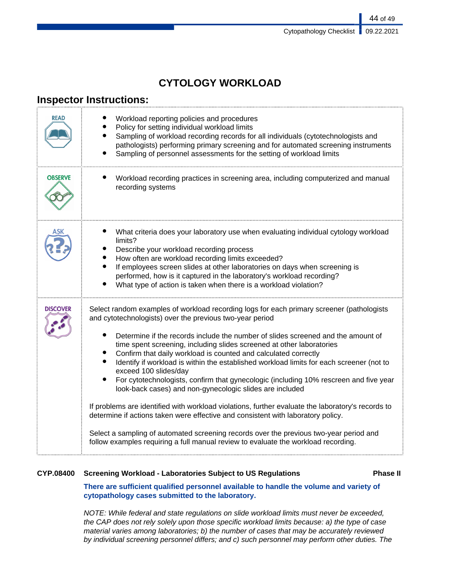| <b>CYTOLOGY WORKLOAD</b> |  |  |
|--------------------------|--|--|
|                          |  |  |

## **Inspector Instructions:**

| READ            | Workload reporting policies and procedures<br>Policy for setting individual workload limits<br>Sampling of workload recording records for all individuals (cytotechnologists and<br>pathologists) performing primary screening and for automated screening instruments<br>Sampling of personnel assessments for the setting of workload limits                                                                                                                                                                                                                                                                                                                                                                                                                                                                                                                                                                                                                                                                                           |
|-----------------|------------------------------------------------------------------------------------------------------------------------------------------------------------------------------------------------------------------------------------------------------------------------------------------------------------------------------------------------------------------------------------------------------------------------------------------------------------------------------------------------------------------------------------------------------------------------------------------------------------------------------------------------------------------------------------------------------------------------------------------------------------------------------------------------------------------------------------------------------------------------------------------------------------------------------------------------------------------------------------------------------------------------------------------|
| <b>OBSERVE</b>  | Workload recording practices in screening area, including computerized and manual<br>recording systems                                                                                                                                                                                                                                                                                                                                                                                                                                                                                                                                                                                                                                                                                                                                                                                                                                                                                                                                   |
|                 | What criteria does your laboratory use when evaluating individual cytology workload<br>limits?<br>Describe your workload recording process<br>How often are workload recording limits exceeded?<br>If employees screen slides at other laboratories on days when screening is<br>performed, how is it captured in the laboratory's workload recording?<br>What type of action is taken when there is a workload violation?                                                                                                                                                                                                                                                                                                                                                                                                                                                                                                                                                                                                               |
| <b>DISCOVER</b> | Select random examples of workload recording logs for each primary screener (pathologists<br>and cytotechnologists) over the previous two-year period<br>Determine if the records include the number of slides screened and the amount of<br>time spent screening, including slides screened at other laboratories<br>Confirm that daily workload is counted and calculated correctly<br>Identify if workload is within the established workload limits for each screener (not to<br>exceed 100 slides/day<br>For cytotechnologists, confirm that gynecologic (including 10% rescreen and five year<br>look-back cases) and non-gynecologic slides are included<br>If problems are identified with workload violations, further evaluate the laboratory's records to<br>determine if actions taken were effective and consistent with laboratory policy.<br>Select a sampling of automated screening records over the previous two-year period and<br>follow examples requiring a full manual review to evaluate the workload recording. |

#### **CYP.08400 Screening Workload - Laboratories Subject to US Regulations Phase II**

### **There are sufficient qualified personnel available to handle the volume and variety of cytopathology cases submitted to the laboratory.**

NOTE: While federal and state regulations on slide workload limits must never be exceeded, the CAP does not rely solely upon those specific workload limits because: a) the type of case material varies among laboratories; b) the number of cases that may be accurately reviewed by individual screening personnel differs; and c) such personnel may perform other duties. The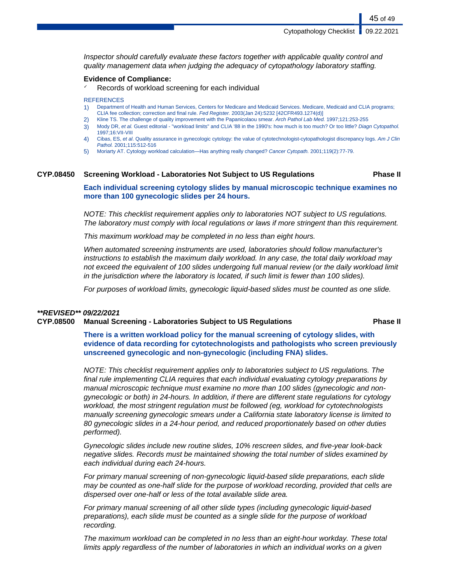Inspector should carefully evaluate these factors together with applicable quality control and quality management data when judging the adequacy of cytopathology laboratory staffing.

#### **Evidence of Compliance:**

Records of workload screening for each individual

**REFERENCES** 

- 1) Department of Health and Human Services, Centers for Medicare and Medicaid Services. Medicare, Medicaid and CLIA programs; CLIA fee collection; correction and final rule. Fed Register. 2003(Jan 24):5232 [42CFR493.1274(d)]
- 2) Kline TS. The challenge of quality improvement with the Papanicolaou smear. Arch Pathol Lab Med. 1997;121:253-255
- 3) Mody DR, et al. Guest editorial "workload limits" and CLIA '88 in the 1990's: how much is too much? Or too little? Diagn Cytopathol. 1997;16:VII-VIII
- 4) Cibas, ES, et al. Quality assurance in gynecologic cytology: the value of cytotechnologist-cytopathologist discrepancy logs. Am J Clin Pathol. 2001;115:512-516
- 5) Moriarty AT. Cytology workload calculation—Has anything really changed? Cancer Cytopath. 2001;119(2):77-79.

#### **CYP.08450 Screening Workload - Laboratories Not Subject to US Regulations Phase II**

**Each individual screening cytology slides by manual microscopic technique examines no more than 100 gynecologic slides per 24 hours.**

NOTE: This checklist requirement applies only to laboratories NOT subject to US regulations. The laboratory must comply with local regulations or laws if more stringent than this requirement.

This maximum workload may be completed in no less than eight hours.

When automated screening instruments are used, laboratories should follow manufacturer's instructions to establish the maximum daily workload. In any case, the total daily workload may not exceed the equivalent of 100 slides undergoing full manual review (or the daily workload limit in the jurisdiction where the laboratory is located, if such limit is fewer than 100 slides).

For purposes of workload limits, gynecologic liquid-based slides must be counted as one slide.

#### **\*\*REVISED\*\* 09/22/2021**

#### **CYP.08500 Manual Screening - Laboratories Subject to US Regulations Phase II**

**There is a written workload policy for the manual screening of cytology slides, with evidence of data recording for cytotechnologists and pathologists who screen previously unscreened gynecologic and non-gynecologic (including FNA) slides.**

NOTE: This checklist requirement applies only to laboratories subject to US regulations. The final rule implementing CLIA requires that each individual evaluating cytology preparations by manual microscopic technique must examine no more than 100 slides (gynecologic and nongynecologic or both) in 24-hours. In addition, if there are different state regulations for cytology workload, the most stringent regulation must be followed (eg, workload for cytotechnologists manually screening gynecologic smears under a California state laboratory license is limited to 80 gynecologic slides in a 24-hour period, and reduced proportionately based on other duties performed).

Gynecologic slides include new routine slides, 10% rescreen slides, and five-year look-back negative slides. Records must be maintained showing the total number of slides examined by each individual during each 24-hours.

For primary manual screening of non-gynecologic liquid-based slide preparations, each slide may be counted as one-half slide for the purpose of workload recording, provided that cells are dispersed over one-half or less of the total available slide area.

For primary manual screening of all other slide types (including gynecologic liquid-based preparations), each slide must be counted as a single slide for the purpose of workload recording.

The maximum workload can be completed in no less than an eight-hour workday. These total limits apply regardless of the number of laboratories in which an individual works on a given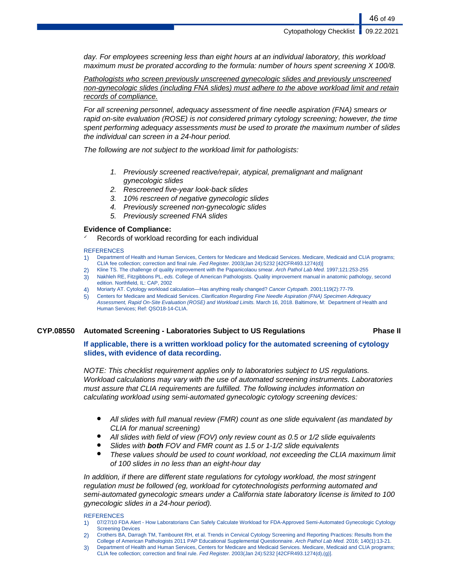day. For employees screening less than eight hours at an individual laboratory, this workload maximum must be prorated according to the formula: number of hours spent screening X 100/8.

Pathologists who screen previously unscreened gynecologic slides and previously unscreened non-gynecologic slides (including FNA slides) must adhere to the above workload limit and retain records of compliance.

For all screening personnel, adequacy assessment of fine needle aspiration (FNA) smears or rapid on-site evaluation (ROSE) is not considered primary cytology screening; however, the time spent performing adequacy assessments must be used to prorate the maximum number of slides the individual can screen in a 24-hour period.

The following are not subject to the workload limit for pathologists:

- 1. Previously screened reactive/repair, atypical, premalignant and malignant gynecologic slides
- 2. Rescreened five-year look-back slides
- 3. 10% rescreen of negative gynecologic slides
- 4. Previously screened non-gynecologic slides
- 5. Previously screened FNA slides

#### **Evidence of Compliance:**

Records of workload recording for each individual

#### **REFERENCES**

- 1) Department of Health and Human Services, Centers for Medicare and Medicaid Services. Medicare, Medicaid and CLIA programs; CLIA fee collection; correction and final rule. Fed Register. 2003(Jan 24):5232 [42CFR493.1274(d)]
- 2) Kline TS. The challenge of quality improvement with the Papanicolaou smear. Arch Pathol Lab Med. 1997;121:253-255
- 3) Nakhleh RE, Fitzgibbons PL, eds. College of American Pathologists. Quality improvement manual in anatomic pathology, second edition. Northfield, IL: CAP, 2002
- 4) Moriarty AT. Cytology workload calculation—Has anything really changed? Cancer Cytopath. 2001;119(2):77-79.
- 5) Centers for Medicare and Medicaid Services. Clarification Regarding Fine Needle Aspiration (FNA) Specimen Adequacy Assessment, Rapid On-Site Evaluation (ROSE) and Workload Limits. March 16, 2018. Baltimore, M: Department of Health and Human Services; Ref: QSO18-14-CLIA.

#### **CYP.08550 Automated Screening - Laboratories Subject to US Regulations Phase II**

#### **If applicable, there is a written workload policy for the automated screening of cytology slides, with evidence of data recording.**

NOTE: This checklist requirement applies only to laboratories subject to US regulations. Workload calculations may vary with the use of automated screening instruments. Laboratories must assure that CLIA requirements are fulfilled. The following includes information on calculating workload using semi-automated gynecologic cytology screening devices:

- All slides with full manual review (FMR) count as one slide equivalent (as mandated by CLIA for manual screening)
- All slides with field of view (FOV) only review count as 0.5 or  $1/2$  slide equivalents
- Slides with **both** FOV and FMR count as 1.5 or 1-1/2 slide equivalents
- These values should be used to count workload, not exceeding the CLIA maximum limit of 100 slides in no less than an eight-hour day

In addition, if there are different state regulations for cytology workload, the most stringent regulation must be followed (eg, workload for cytotechnologists performing automated and semi-automated gynecologic smears under a California state laboratory license is limited to 100 gynecologic slides in a 24-hour period).

#### **REFERENCES**

- 1) 07/27/10 FDA Alert How Laboratorians Can Safely Calculate Workload for FDA-Approved Semi-Automated Gynecologic Cytology Screening Devices
- 2) Crothers BA, Darragh TM, Tambouret RH, et al. Trends in Cervical Cytology Screening and Reporting Practices: Results from the College of American Pathologists 2011 PAP Educational Supplemental Questionnaire. Arch Pathol Lab Med. 2016; 140(1):13-21.
- 3) Department of Health and Human Services, Centers for Medicare and Medicaid Services. Medicare, Medicaid and CLIA programs; CLIA fee collection; correction and final rule. Fed Register. 2003(Jan 24):5232 [42CFR493.1274(d),(g)].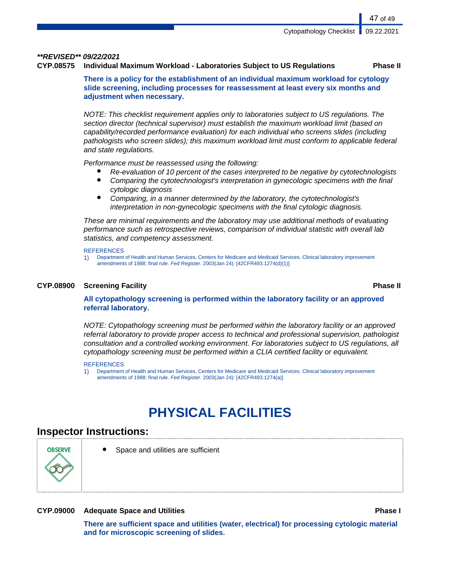#### **\*\*REVISED\*\* 09/22/2021**

#### **CYP.08575 Individual Maximum Workload - Laboratories Subject to US Regulations Phase II**

**There is a policy for the establishment of an individual maximum workload for cytology slide screening, including processes for reassessment at least every six months and adjustment when necessary.**

NOTE: This checklist requirement applies only to laboratories subject to US regulations. The section director (technical supervisor) must establish the maximum workload limit (based on capability/recorded performance evaluation) for each individual who screens slides (including pathologists who screen slides); this maximum workload limit must conform to applicable federal and state regulations.

Performance must be reassessed using the following:

- Re-evaluation of 10 percent of the cases interpreted to be negative by cytotechnologists
- Comparing the cytotechnologist's interpretation in gynecologic specimens with the final cytologic diagnosis
- Comparing, in a manner determined by the laboratory, the cytotechnologist's interpretation in non-gynecologic specimens with the final cytologic diagnosis.

These are minimal requirements and the laboratory may use additional methods of evaluating performance such as retrospective reviews, comparison of individual statistic with overall lab statistics, and competency assessment.

#### **REFERENCES**

1) Department of Health and Human Services, Centers for Medicare and Medicaid Services. Clinical laboratory improvement amendments of 1988; final rule. Fed Register. 2003(Jan 24): [42CFR493.1274(d)(1)]

#### **CYP.08900 Screening Facility Phase II**

#### **All cytopathology screening is performed within the laboratory facility or an approved referral laboratory.**

NOTE: Cytopathology screening must be performed within the laboratory facility or an approved referral laboratory to provide proper access to technical and professional supervision, pathologist consultation and a controlled working environment. For laboratories subject to US regulations, all cytopathology screening must be performed within a CLIA certified facility or equivalent.

#### **REFERENCES**

1) Department of Health and Human Services, Centers for Medicare and Medicaid Services. Clinical laboratory improvement amendments of 1988; final rule. Fed Register. 2003(Jan 24): [42CFR493.1274(a)]

# **PHYSICAL FACILITIES**

### **Inspector Instructions:**



Space and utilities are sufficient

#### **CYP.09000 Adequate Space and Utilities Phase I**

**There are sufficient space and utilities (water, electrical) for processing cytologic material and for microscopic screening of slides.**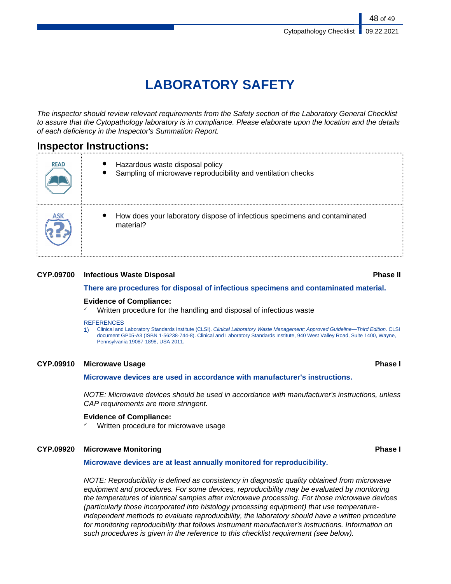# **LABORATORY SAFETY**

The inspector should review relevant requirements from the Safety section of the Laboratory General Checklist to assure that the Cytopathology laboratory is in compliance. Please elaborate upon the location and the details of each deficiency in the Inspector's Summation Report.

## **Inspector Instructions:**

| <b>READ</b> | Hazardous waste disposal policy<br>Sampling of microwave reproducibility and ventilation checks |
|-------------|-------------------------------------------------------------------------------------------------|
| ASK         | How does your laboratory dispose of infectious specimens and contaminated<br>material?          |

### **CYP.09700 Infectious Waste Disposal Phase II**

#### **There are procedures for disposal of infectious specimens and contaminated material.**

#### **Evidence of Compliance:**

Written procedure for the handling and disposal of infectious waste

#### **REFERENCES**

1) Clinical and Laboratory Standards Institute (CLSI). Clinical Laboratory Waste Management; Approved Guideline—Third Edition. CLSI document GP05-A3 (ISBN 1-56238-744-8). Clinical and Laboratory Standards Institute, 940 West Valley Road, Suite 1400, Wayne, Pennsylvania 19087-1898, USA 2011.

#### **CYP.09910 Microwave Usage Phase I**

**Microwave devices are used in accordance with manufacturer's instructions.**

NOTE: Microwave devices should be used in accordance with manufacturer's instructions, unless CAP requirements are more stringent.

#### **Evidence of Compliance:**

Written procedure for microwave usage

#### **CYP.09920 Microwave Monitoring Phase I**

#### **Microwave devices are at least annually monitored for reproducibility.**

NOTE: Reproducibility is defined as consistency in diagnostic quality obtained from microwave equipment and procedures. For some devices, reproducibility may be evaluated by monitoring the temperatures of identical samples after microwave processing. For those microwave devices (particularly those incorporated into histology processing equipment) that use temperatureindependent methods to evaluate reproducibility, the laboratory should have a written procedure for monitoring reproducibility that follows instrument manufacturer's instructions. Information on such procedures is given in the reference to this checklist requirement (see below).